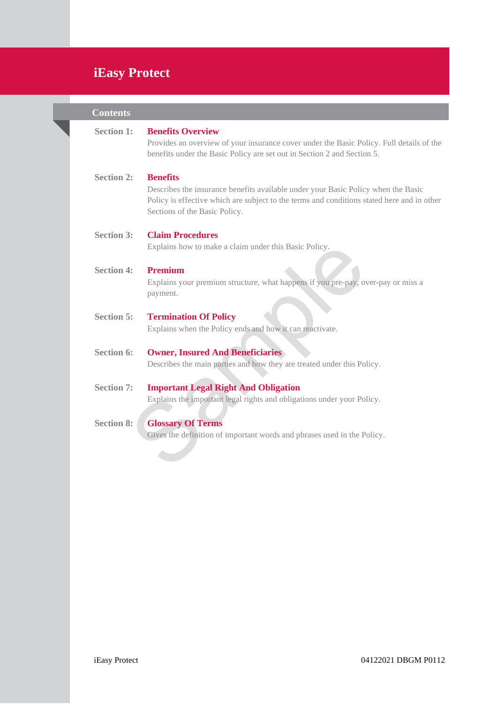# **iEasy Protect**

| <b>Contents</b>   |                                                                                                                                                                                                                                     |
|-------------------|-------------------------------------------------------------------------------------------------------------------------------------------------------------------------------------------------------------------------------------|
| <b>Section 1:</b> | <b>Benefits Overview</b><br>Provides an overview of your insurance cover under the Basic Policy. Full details of the<br>benefits under the Basic Policy are set out in Section 2 and Section 5.                                     |
| <b>Section 2:</b> | <b>Benefits</b><br>Describes the insurance benefits available under your Basic Policy when the Basic<br>Policy is effective which are subject to the terms and conditions stated here and in other<br>Sections of the Basic Policy. |
| <b>Section 3:</b> | <b>Claim Procedures</b><br>Explains how to make a claim under this Basic Policy.                                                                                                                                                    |
| <b>Section 4:</b> | <b>Premium</b><br>Explains your premium structure, what happens if you pre-pay, over-pay or miss a<br>payment.                                                                                                                      |
| <b>Section 5:</b> | <b>Termination Of Policy</b><br>Explains when the Policy ends and how it can reactivate.                                                                                                                                            |
| <b>Section 6:</b> | <b>Owner, Insured And Beneficiaries</b><br>Describes the main parties and how they are treated under this Policy.                                                                                                                   |
| <b>Section 7:</b> | <b>Important Legal Right And Obligation</b><br>Explains the important legal rights and obligations under your Policy.                                                                                                               |
| <b>Section 8:</b> | <b>Glossary Of Terms</b><br>Gives the definition of important words and phrases used in the Policy.                                                                                                                                 |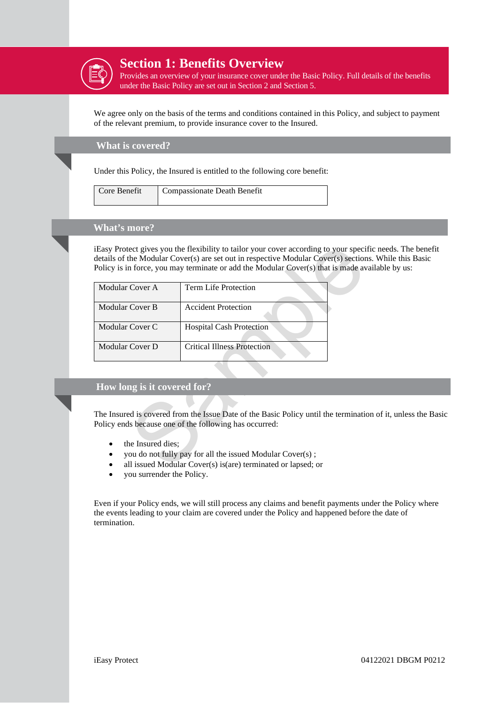

## **Section 1: Benefits Overview**

Provides an overview of your insurance cover under the Basic Policy. Full details of the benefits under the Basic Policy are set out in Section 2 and Section 5.

We agree only on the basis of the terms and conditions contained in this Policy, and subject to payment of the relevant premium, to provide insurance cover to the Insured.

**What is covered?**

Under this Policy, the Insured is entitled to the following core benefit:

| Core Benefit | Compassionate Death Benefit |
|--------------|-----------------------------|
|--------------|-----------------------------|

## **What's more?**

iEasy Protect gives you the flexibility to tailor your cover according to your specific needs. The benefit details of the Modular Cover(s) are set out in respective Modular Cover(s) sections. While this Basic Policy is in force, you may terminate or add the Modular Cover(s) that is made available by us:

|                             | iEasy Protect gives you the flexibility to tailor your cover according to your specific no<br>details of the Modular Cover(s) are set out in respective Modular Cover(s) sections. W<br>Policy is in force, you may terminate or add the Modular Cover(s) that is made available |
|-----------------------------|----------------------------------------------------------------------------------------------------------------------------------------------------------------------------------------------------------------------------------------------------------------------------------|
| Modular Cover A             | <b>Term Life Protection</b>                                                                                                                                                                                                                                                      |
| <b>Modular Cover B</b>      | <b>Accident Protection</b>                                                                                                                                                                                                                                                       |
| Modular Cover C             | <b>Hospital Cash Protection</b>                                                                                                                                                                                                                                                  |
| Modular Cover D             | <b>Critical Illness Protection</b>                                                                                                                                                                                                                                               |
|                             |                                                                                                                                                                                                                                                                                  |
| How long is it covered for? |                                                                                                                                                                                                                                                                                  |
| the Insured dies;           | The Insured is covered from the Issue Date of the Basic Policy until the termination of<br>Policy ends because one of the following has occurred:<br>you do not fully pay for all the issued Modular Cover(s);<br>all issued Modular Cover(s) is(are) terminated or lapsed; or   |

## **How long is it covered for?**

The Insured is covered from the Issue Date of the Basic Policy until the termination of it, unless the Basic Policy ends because one of the following has occurred:

- the Insured dies;
- you do not fully pay for all the issued Modular Cover(s) ;
- all issued Modular Cover(s) is(are) terminated or lapsed; or
- you surrender the Policy.

Even if your Policy ends, we will still process any claims and benefit payments under the Policy where the events leading to your claim are covered under the Policy and happened before the date of termination.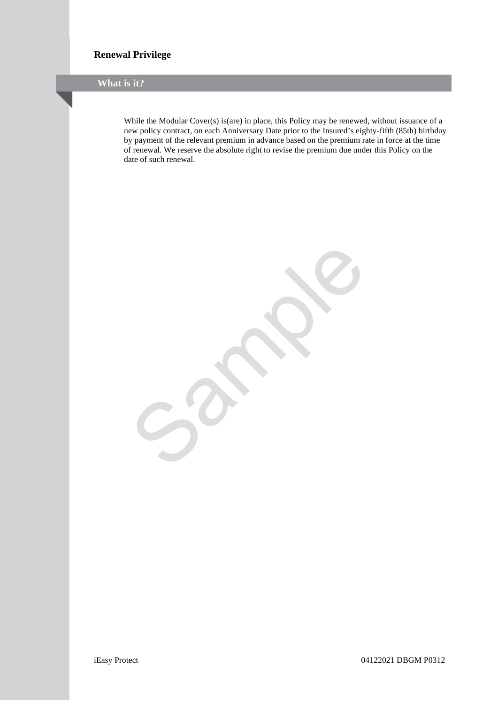## **Renewal Privilege**

**What is it?**

While the Modular Cover(s) is(are) in place, this Policy may be renewed, without issuance of a new policy contract, on each Anniversary Date prior to the Insured's eighty-fifth (85th) birthday by payment of the relevant premium in advance based on the premium rate in force at the time of renewal. We reserve the absolute right to revise the premium due under this Policy on the date of such renewal.

Sample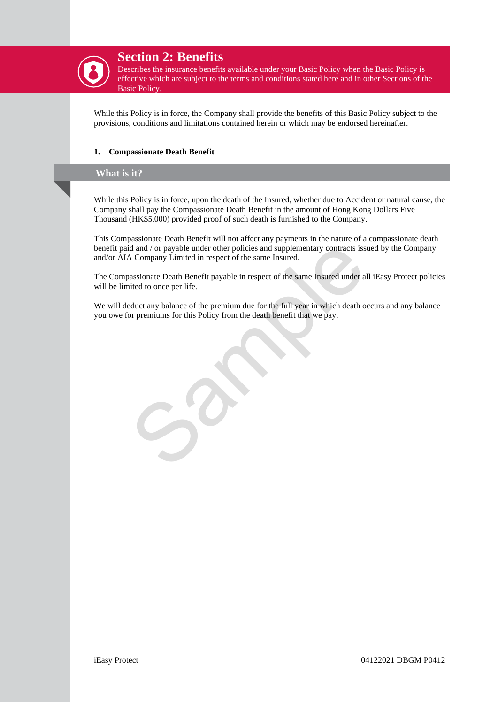

## **Section 2: Benefits**

Describes the insurance benefits available under your Basic Policy when the Basic Policy is effective which are subject to the terms and conditions stated here and in other Sections of the Basic Policy.

While this Policy is in force, the Company shall provide the benefits of this Basic Policy subject to the provisions, conditions and limitations contained herein or which may be endorsed hereinafter.

### **1. Compassionate Death Benefit**

## **What is it?**

While this Policy is in force, upon the death of the Insured, whether due to Accident or natural cause, the Company shall pay the Compassionate Death Benefit in the amount of Hong Kong Dollars Five Thousand (HK\$5,000) provided proof of such death is furnished to the Company.

This Compassionate Death Benefit will not affect any payments in the nature of a compassionate death benefit paid and / or payable under other policies and supplementary contracts issued by the Company and/or AIA Company Limited in respect of the same Insured.

id and / or payable under other policies and supplementary contracts issued by Company Limited in respect of the same Insured.<br>
A Company Limited in respect of the same Insured.<br>
A company Limited in respect of the same In The Compassionate Death Benefit payable in respect of the same Insured under all iEasy Protect policies will be limited to once per life.

We will deduct any balance of the premium due for the full year in which death occurs and any balance you owe for premiums for this Policy from the death benefit that we pay.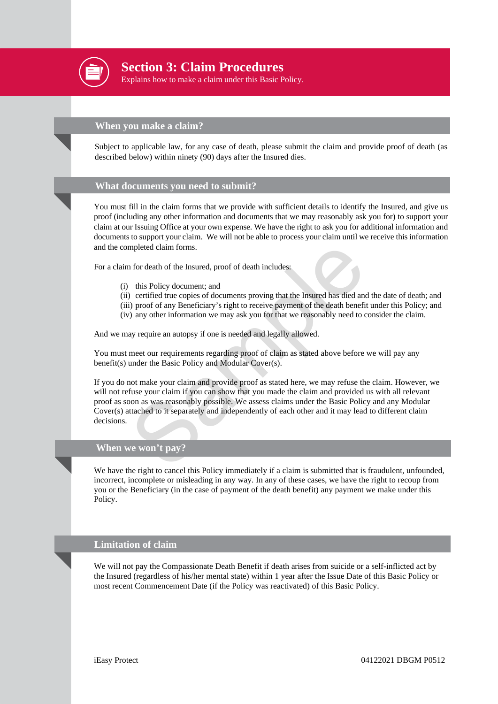

**Section 2: Cloim Describes 3: Claim Procedures Section 3: Claim Procedures** 

Explains how to make a claim under this Basic Policy.

## **When you make a claim?**

Subject to applicable law, for any case of death, please submit the claim and provide proof of death (as described below) within ninety (90) days after the Insured dies.

### **What documents you need to submit?**

You must fill in the claim forms that we provide with sufficient details to identify the Insured, and give us proof (including any other information and documents that we may reasonably ask you for) to support your claim at our Issuing Office at your own expense. We have the right to ask you for additional information and documents to support your claim. We will not be able to process your claim until we receive this information and the completed claim forms.

For a claim for death of the Insured, proof of death includes:

- (i) this Policy document; and
- (ii) certified true copies of documents proving that the Insured has died and the date of death; and
- (iii) proof of any Beneficiary's right to receive payment of the death benefit under this Policy; and
- (iv) any other information we may ask you for that we reasonably need to consider the claim.

And we may require an autopsy if one is needed and legally allowed.

You must meet our requirements regarding proof of claim as stated above before we will pay any benefit(s) under the Basic Policy and Modular Cover(s).

mpleted claim forms.<br>
this Policy document; and<br>
this Policy document; and<br>
i) certified true copies of documents proving that the Insured has died and the<br>
i) proof of any Beneficiary's right to receive payment of the dea If you do not make your claim and provide proof as stated here, we may refuse the claim. However, we will not refuse your claim if you can show that you made the claim and provided us with all relevant proof as soon as was reasonably possible. We assess claims under the Basic Policy and any Modular Cover(s) attached to it separately and independently of each other and it may lead to different claim decisions.

### **When we won't pay?**

We have the right to cancel this Policy immediately if a claim is submitted that is fraudulent, unfounded, incorrect, incomplete or misleading in any way. In any of these cases, we have the right to recoup from you or the Beneficiary (in the case of payment of the death benefit) any payment we make under this Policy.

#### **Limitation of claim**

We will not pay the Compassionate Death Benefit if death arises from suicide or a self-inflicted act by the Insured (regardless of his/her mental state) within 1 year after the Issue Date of this Basic Policy or most recent Commencement Date (if the Policy was reactivated) of this Basic Policy.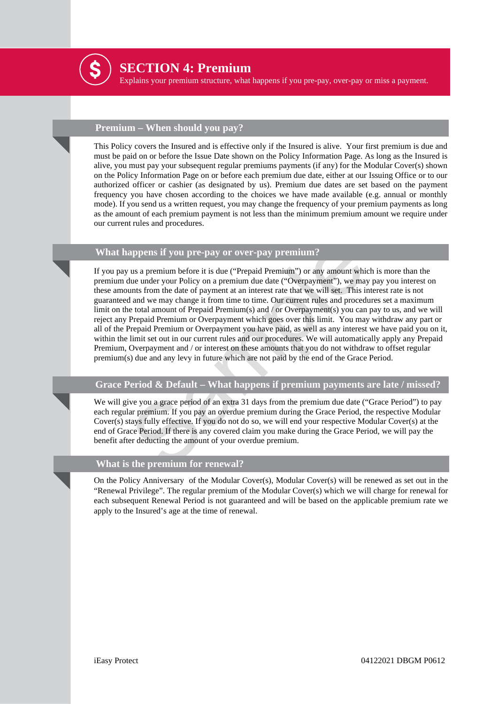

## **SECTION 4: Premium**

Explains your premium structure, what happens if you pre-pay, over-pay or miss a payment.

## **Premium – When should you pay?**

This Policy covers the Insured and is effective only if the Insured is alive. Your first premium is due and must be paid on or before the Issue Date shown on the Policy Information Page. As long as the Insured is alive, you must pay your subsequent regular premiums payments (if any) for the Modular Cover(s) shown on the Policy Information Page on or before each premium due date, either at our Issuing Office or to our authorized officer or cashier (as designated by us). Premium due dates are set based on the payment frequency you have chosen according to the choices we have made available (e.g. annual or monthly mode). If you send us a written request, you may change the frequency of your premium payments as long as the amount of each premium payment is not less than the minimum premium amount we require under our current rules and procedures.

## **What happens if you pre-pay or over-pay premium?**

appens if you pre-pay or over-pay premium?<br>
us a premium before it is due ("Prepaid Premium") or any amount which is<br>
the under your Policy on a premium due date ("Overpayment"), we may pay<br>
unts from the date of payment If you pay us a premium before it is due ("Prepaid Premium") or any amount which is more than the premium due under your Policy on a premium due date ("Overpayment"), we may pay you interest on these amounts from the date of payment at an interest rate that we will set. This interest rate is not guaranteed and we may change it from time to time. Our current rules and procedures set a maximum limit on the total amount of Prepaid Premium(s) and / or Overpayment(s) you can pay to us, and we will reject any Prepaid Premium or Overpayment which goes over this limit. You may withdraw any part or all of the Prepaid Premium or Overpayment you have paid, as well as any interest we have paid you on it, within the limit set out in our current rules and our procedures. We will automatically apply any Prepaid Premium, Overpayment and / or interest on these amounts that you do not withdraw to offset regular premium(s) due and any levy in future which are not paid by the end of the Grace Period.

## **Grace Period & Default – What happens if premium payments are late / missed?**

We will give you a grace period of an extra 31 days from the premium due date ("Grace Period") to pay each regular premium. If you pay an overdue premium during the Grace Period, the respective Modular Cover(s) stays fully effective. If you do not do so, we will end your respective Modular Cover(s) at the end of Grace Period. If there is any covered claim you make during the Grace Period, we will pay the benefit after deducting the amount of your overdue premium.

## **What is the premium for renewal?**

On the Policy Anniversary of the Modular Cover(s), Modular Cover(s) will be renewed as set out in the "Renewal Privilege". The regular premium of the Modular Cover(s) which we will charge for renewal for each subsequent Renewal Period is not guaranteed and will be based on the applicable premium rate we apply to the Insured's age at the time of renewal.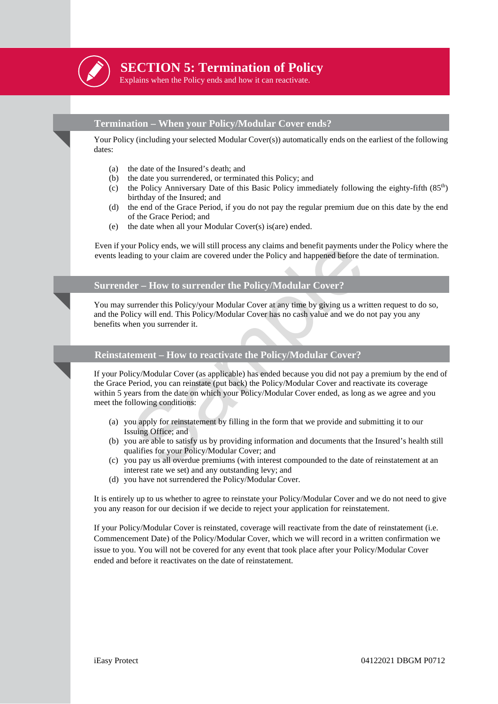

## **SECTION 5: Termination of Policy**

Explains when the Policy ends and how it can reactivate.

## **Termination – When your Policy/Modular Cover ends?**

Your Policy (including your selected Modular Cover(s)) automatically ends on the earliest of the following dates:

- (a) the date of the Insured's death; and
- (b) the date you surrendered, or terminated this Policy; and
- (c) the Policy Anniversary Date of this Basic Policy immediately following the eighty-fifth (85<sup>th</sup>) birthday of the Insured; and
- (d) the end of the Grace Period, if you do not pay the regular premium due on this date by the end of the Grace Period; and
- (e) the date when all your Modular Cover(s) is(are) ended.

Even if your Policy ends, we will still process any claims and benefit payments under the Policy where the events leading to your claim are covered under the Policy and happened before the date of termination.

### **Surrender – How to surrender the Policy/Modular Cover?**

You may surrender this Policy/your Modular Cover at any time by giving us a written request to do so, and the Policy will end. This Policy/Modular Cover has no cash value and we do not pay you any benefits when you surrender it.

### **Reinstatement – How to reactivate the Policy/Modular Cover?**

ur Policy ends, we will still process any claims and benefit payments under the ding to your claim are covered under the Policy and happened before the date<br>
ler – How to surrender the Policy/Modular Cover at any time by g If your Policy/Modular Cover (as applicable) has ended because you did not pay a premium by the end of the Grace Period, you can reinstate (put back) the Policy/Modular Cover and reactivate its coverage within 5 years from the date on which your Policy/Modular Cover ended, as long as we agree and you meet the following conditions:

- (a) you apply for reinstatement by filling in the form that we provide and submitting it to our Issuing Office; and
- (b) you are able to satisfy us by providing information and documents that the Insured's health still qualifies for your Policy/Modular Cover; and
- (c) you pay us all overdue premiums (with interest compounded to the date of reinstatement at an interest rate we set) and any outstanding levy; and
- (d) you have not surrendered the Policy/Modular Cover.

It is entirely up to us whether to agree to reinstate your Policy/Modular Cover and we do not need to give you any reason for our decision if we decide to reject your application for reinstatement.

If your Policy/Modular Cover is reinstated, coverage will reactivate from the date of reinstatement (i.e. Commencement Date) of the Policy/Modular Cover, which we will record in a written confirmation we issue to you. You will not be covered for any event that took place after your Policy/Modular Cover ended and before it reactivates on the date of reinstatement.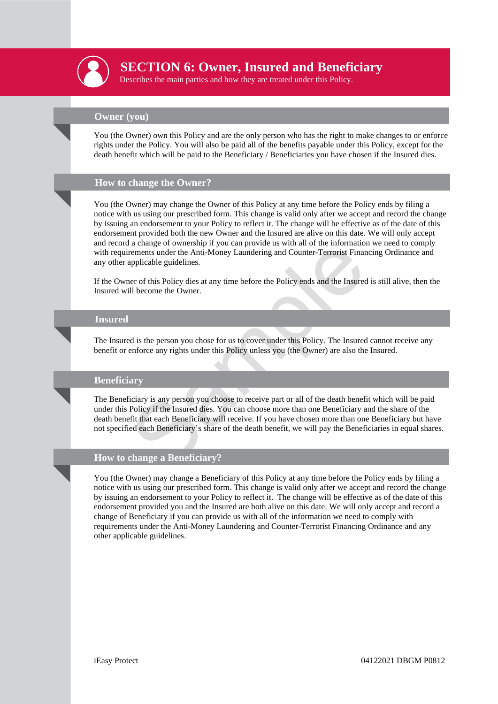

## **SECTION 6: Owner, Insured and Beneficiary**

Describes the main parties and how they are treated under this Policy.

## **Owner (you)**

You (the Owner) own this Policy and are the only person who has the right to make changes to or enforce rights under the Policy. You will also be paid all of the benefits payable under this Policy, except for the death benefit which will be paid to the Beneficiary / Beneficiaries you have chosen if the Insured dies.

## **How to change the Owner?**

You (the Owner) may change the Owner of this Policy at any time before the Policy ends by filing a notice with us using our prescribed form. This change is valid only after we accept and record the change by issuing an endorsement to your Policy to reflect it. The change will be effective as of the date of this endorsement provided both the new Owner and the Insured are alive on this date. We will only accept and record a change of ownership if you can provide us with all of the information we need to comply with requirements under the Anti-Money Laundering and Counter-Terrorist Financing Ordinance and any other applicable guidelines.

If the Owner of this Policy dies at any time before the Policy ends and the Insured is still alive, then the Insured will become the Owner.

#### **Insured**

The Insured is the person you chose for us to cover under this Policy. The Insured cannot receive any benefit or enforce any rights under this Policy unless you (the Owner) are also the Insured.

### **Beneficiary**

a change of which any in you can provide us with an or the information we<br>rements under the Anti-Money Laundering and Counter-Terrorist Financing<br>applicable guidelines.<br>References of this Policy dies at any time before the The Beneficiary is any person you choose to receive part or all of the death benefit which will be paid under this Policy if the Insured dies. You can choose more than one Beneficiary and the share of the death benefit that each Beneficiary will receive. If you have chosen more than one Beneficiary but have not specified each Beneficiary's share of the death benefit, we will pay the Beneficiaries in equal shares.

#### **How to change a Beneficiary?**

You (the Owner) may change a Beneficiary of this Policy at any time before the Policy ends by filing a notice with us using our prescribed form. This change is valid only after we accept and record the change by issuing an endorsement to your Policy to reflect it. The change will be effective as of the date of this endorsement provided you and the Insured are both alive on this date. We will only accept and record a change of Beneficiary if you can provide us with all of the information we need to comply with requirements under the Anti-Money Laundering and Counter-Terrorist Financing Ordinance and any other applicable guidelines.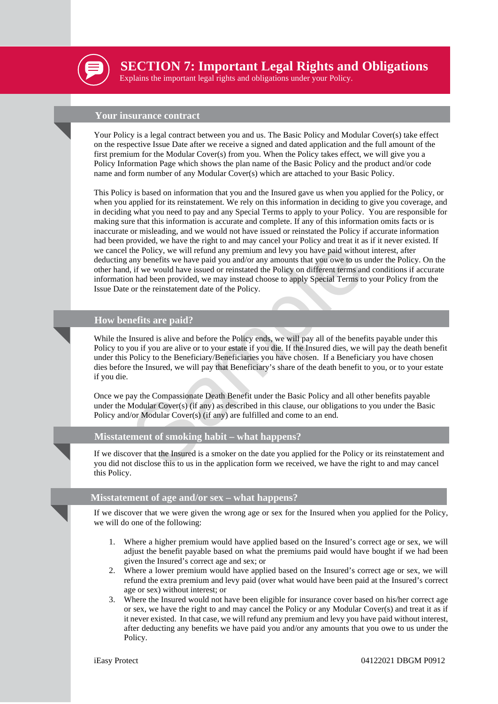

**SECTION 7: Important Legal Rights and Obligations** 

Explains the important legal rights and obligations under your Policy.

#### **Your insurance contract**

Your Policy is a legal contract between you and us. The Basic Policy and Modular Cover(s) take effect on the respective Issue Date after we receive a signed and dated application and the full amount of the first premium for the Modular Cover(s) from you. When the Policy takes effect, we will give you a Policy Information Page which shows the plan name of the Basic Policy and the product and/or code name and form number of any Modular Cover(s) which are attached to your Basic Policy.

the Policy, we will refund any premium and levy you have paid without inter-<br>the Policy, we will refund any premium and levy you have paid without interary benefits we have paid you and/or any amounts that you owe to us un This Policy is based on information that you and the Insured gave us when you applied for the Policy, or when you applied for its reinstatement. We rely on this information in deciding to give you coverage, and in deciding what you need to pay and any Special Terms to apply to your Policy. You are responsible for making sure that this information is accurate and complete. If any of this information omits facts or is inaccurate or misleading, and we would not have issued or reinstated the Policy if accurate information had been provided, we have the right to and may cancel your Policy and treat it as if it never existed. If we cancel the Policy, we will refund any premium and levy you have paid without interest, after deducting any benefits we have paid you and/or any amounts that you owe to us under the Policy. On the other hand, if we would have issued or reinstated the Policy on different terms and conditions if accurate information had been provided, we may instead choose to apply Special Terms to your Policy from the Issue Date or the reinstatement date of the Policy.

#### **How benefits are paid?**

While the Insured is alive and before the Policy ends, we will pay all of the benefits payable under this Policy to you if you are alive or to your estate if you die. If the Insured dies, we will pay the death benefit under this Policy to the Beneficiary/Beneficiaries you have chosen. If a Beneficiary you have chosen dies before the Insured, we will pay that Beneficiary's share of the death benefit to you, or to your estate if you die.

Once we pay the Compassionate Death Benefit under the Basic Policy and all other benefits payable under the Modular Cover(s) (if any) as described in this clause, our obligations to you under the Basic Policy and/or Modular Cover(s) (if any) are fulfilled and come to an end.

#### **Misstatement of smoking habit – what happens?**

If we discover that the Insured is a smoker on the date you applied for the Policy or its reinstatement and you did not disclose this to us in the application form we received, we have the right to and may cancel this Policy.

## **Misstatement of age and/or sex – what happens?**

If we discover that we were given the wrong age or sex for the Insured when you applied for the Policy, we will do one of the following:

- 1. Where a higher premium would have applied based on the Insured's correct age or sex, we will adjust the benefit payable based on what the premiums paid would have bought if we had been given the Insured's correct age and sex; or
- 2. Where a lower premium would have applied based on the Insured's correct age or sex, we will refund the extra premium and levy paid (over what would have been paid at the Insured's correct age or sex) without interest; or
- 3. Where the Insured would not have been eligible for insurance cover based on his/her correct age or sex, we have the right to and may cancel the Policy or any Modular Cover(s) and treat it as if it never existed. In that case, we will refund any premium and levy you have paid without interest, after deducting any benefits we have paid you and/or any amounts that you owe to us under the Policy.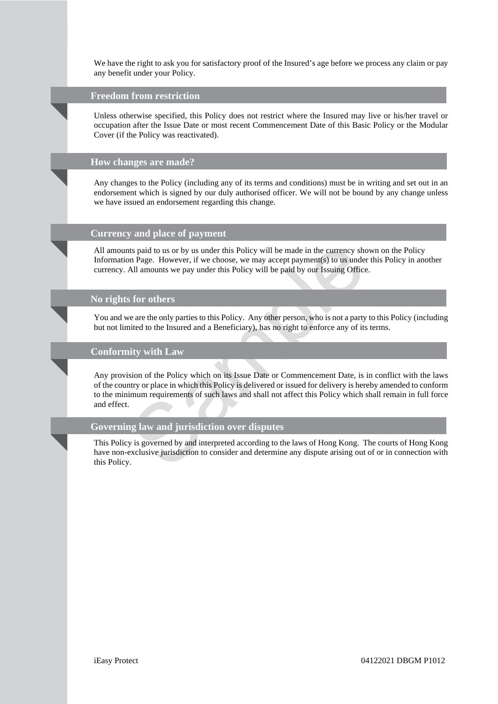We have the right to ask you for satisfactory proof of the Insured's age before we process any claim or pay any benefit under your Policy.

#### **Freedom from restriction**

Unless otherwise specified, this Policy does not restrict where the Insured may live or his/her travel or occupation after the Issue Date or most recent Commencement Date of this Basic Policy or the Modular Cover (if the Policy was reactivated).

#### **How changes are made?**

Any changes to the Policy (including any of its terms and conditions) must be in writing and set out in an endorsement which is signed by our duly authorised officer. We will not be bound by any change unless we have issued an endorsement regarding this change.

## **Currency and place of payment**

All amounts paid to us or by us under this Policy will be made in the currency shown on the Policy Information Page. However, if we choose, we may accept payment(s) to us under this Policy in another currency. All amounts we pay under this Policy will be paid by our Issuing Office.

#### **No rights for others**

You and we are the only parties to this Policy. Any other person, who is not a party to this Policy (including but not limited to the Insured and a Beneficiary), has no right to enforce any of its terms.

## **Conformity with Law**

Its paid to us or by us under this Policy will be made in the currency shown on Page. However, if we choose, we may accept payment(s) to us under this All amounts we pay under this Policy will be paid by our Issuing Office Any provision of the Policy which on its Issue Date or Commencement Date, is in conflict with the laws of the country or place in which this Policy is delivered or issued for delivery is hereby amended to conform to the minimum requirements of such laws and shall not affect this Policy which shall remain in full force and effect.

### **Governing law and jurisdiction over disputes**

This Policy is governed by and interpreted according to the laws of Hong Kong. The courts of Hong Kong have non-exclusive jurisdiction to consider and determine any dispute arising out of or in connection with this Policy.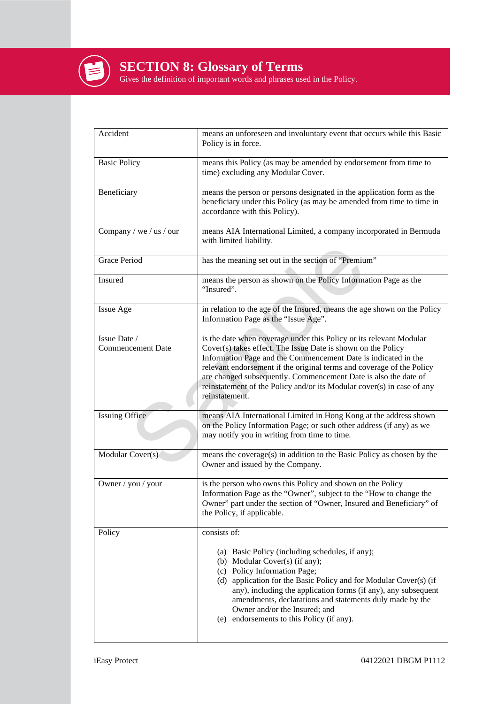

**SECTION 8: Glossary of Terms**

Gives the definition of important words and phrases used in the Policy.

| Accident                                 | means an unforeseen and involuntary event that occurs while this Basic<br>Policy is in force.                                                                                                                                                                                                                                                                                                                                                 |
|------------------------------------------|-----------------------------------------------------------------------------------------------------------------------------------------------------------------------------------------------------------------------------------------------------------------------------------------------------------------------------------------------------------------------------------------------------------------------------------------------|
| <b>Basic Policy</b>                      | means this Policy (as may be amended by endorsement from time to<br>time) excluding any Modular Cover.                                                                                                                                                                                                                                                                                                                                        |
| Beneficiary                              | means the person or persons designated in the application form as the<br>beneficiary under this Policy (as may be amended from time to time in<br>accordance with this Policy).                                                                                                                                                                                                                                                               |
| Company / we / us / our                  | means AIA International Limited, a company incorporated in Bermuda<br>with limited liability.                                                                                                                                                                                                                                                                                                                                                 |
| <b>Grace Period</b>                      | has the meaning set out in the section of "Premium"                                                                                                                                                                                                                                                                                                                                                                                           |
| Insured                                  | means the person as shown on the Policy Information Page as the<br>"Insured".                                                                                                                                                                                                                                                                                                                                                                 |
| Issue Age                                | in relation to the age of the Insured, means the age shown on the Policy<br>Information Page as the "Issue Age".                                                                                                                                                                                                                                                                                                                              |
| Issue Date /<br><b>Commencement Date</b> | is the date when coverage under this Policy or its relevant Modular<br>Cover(s) takes effect. The Issue Date is shown on the Policy<br>Information Page and the Commencement Date is indicated in the<br>relevant endorsement if the original terms and coverage of the Policy<br>are changed subsequently. Commencement Date is also the date of<br>reinstatement of the Policy and/or its Modular cover(s) in case of any<br>reinstatement. |
| <b>Issuing Office</b>                    | means AIA International Limited in Hong Kong at the address shown<br>on the Policy Information Page; or such other address (if any) as we<br>may notify you in writing from time to time.                                                                                                                                                                                                                                                     |
| Modular Cover(s)                         | means the coverage(s) in addition to the Basic Policy as chosen by the<br>Owner and issued by the Company.                                                                                                                                                                                                                                                                                                                                    |
| Owner / you / your                       | is the person who owns this Policy and shown on the Policy<br>Information Page as the "Owner", subject to the "How to change the<br>Owner" part under the section of "Owner, Insured and Beneficiary" of<br>the Policy, if applicable.                                                                                                                                                                                                        |
| Policy                                   | consists of:<br>(a) Basic Policy (including schedules, if any);<br>(b) Modular Cover(s) (if any);<br>(c) Policy Information Page;<br>(d) application for the Basic Policy and for Modular Cover(s) (if<br>any), including the application forms (if any), any subsequent<br>amendments, declarations and statements duly made by the<br>Owner and/or the Insured; and<br>(e) endorsements to this Policy (if any).                            |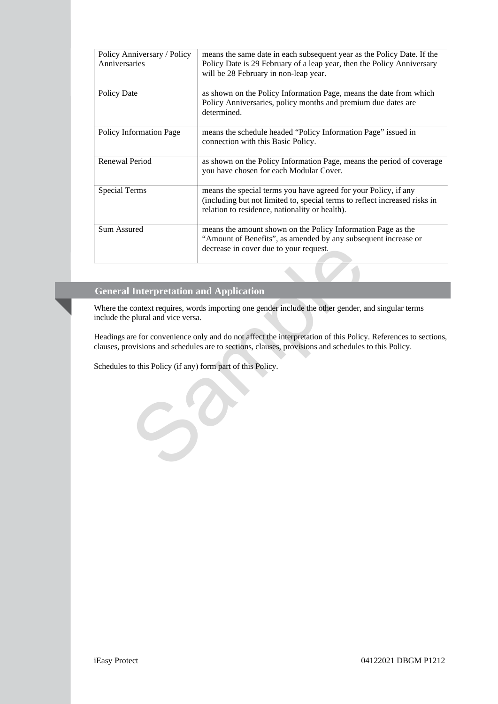| Policy Anniversary / Policy<br>Anniversaries | means the same date in each subsequent year as the Policy Date. If the<br>Policy Date is 29 February of a leap year, then the Policy Anniversary<br>will be 28 February in non-leap year.       |
|----------------------------------------------|-------------------------------------------------------------------------------------------------------------------------------------------------------------------------------------------------|
| Policy Date                                  | as shown on the Policy Information Page, means the date from which<br>Policy Anniversaries, policy months and premium due dates are<br>determined.                                              |
| <b>Policy Information Page</b>               | means the schedule headed "Policy Information Page" issued in<br>connection with this Basic Policy.                                                                                             |
| Renewal Period                               | as shown on the Policy Information Page, means the period of coverage<br>you have chosen for each Modular Cover.                                                                                |
| <b>Special Terms</b>                         | means the special terms you have agreed for your Policy, if any<br>(including but not limited to, special terms to reflect increased risks in<br>relation to residence, nationality or health). |
| Sum Assured                                  | means the amount shown on the Policy Information Page as the<br>"Amount of Benefits", as amended by any subsequent increase or<br>decrease in cover due to your request.                        |

## **General Interpretation and Application**

Where the context requires, words importing one gender include the other gender, and singular terms include the plural and vice versa.

Headings are for convenience only and do not affect the interpretation of this Policy. References to sections, clauses, provisions and schedules are to sections, clauses, provisions and schedules to this Policy.

Schedules to this Policy (if any) form part of this Policy.

 $S^{\mathcal{D}}$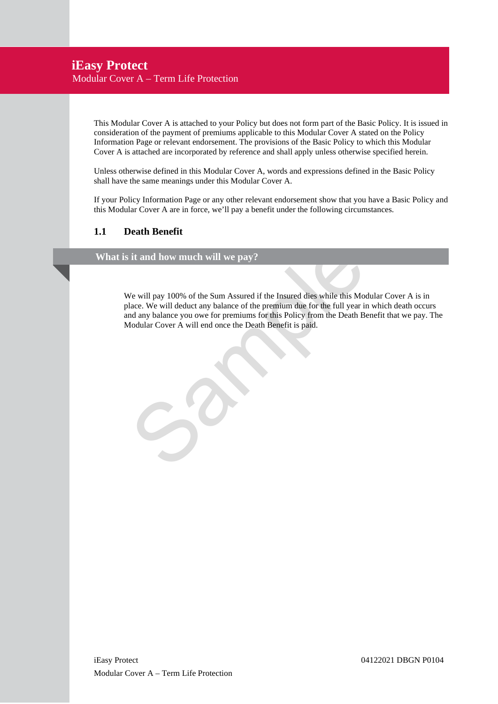## **iEasy Protect** Modular Cover A – Term Life Protection

This Modular Cover A is attached to your Policy but does not form part of the Basic Policy. It is issued in consideration of the payment of premiums applicable to this Modular Cover A stated on the Policy Information Page or relevant endorsement. The provisions of the Basic Policy to which this Modular Cover A is attached are incorporated by reference and shall apply unless otherwise specified herein.

Unless otherwise defined in this Modular Cover A, words and expressions defined in the Basic Policy shall have the same meanings under this Modular Cover A.

If your Policy Information Page or any other relevant endorsement show that you have a Basic Policy and this Modular Cover A are in force, we'll pay a benefit under the following circumstances.

## **1.1 Death Benefit**

## **What is it and how much will we pay?**

it and how much will we pay?<br>We will pay 100% of the Sum Assured if the Insured dies while this Modular<br>lace. We will deduct any balance of the permium stor this Policy from the Death Benefit<br>dodular Cover A will end once We will pay 100% of the Sum Assured if the Insured dies while this Modular Cover A is in place. We will deduct any balance of the premium due for the full year in which death occurs and any balance you owe for premiums for this Policy from the Death Benefit that we pay. The Modular Cover A will end once the Death Benefit is paid.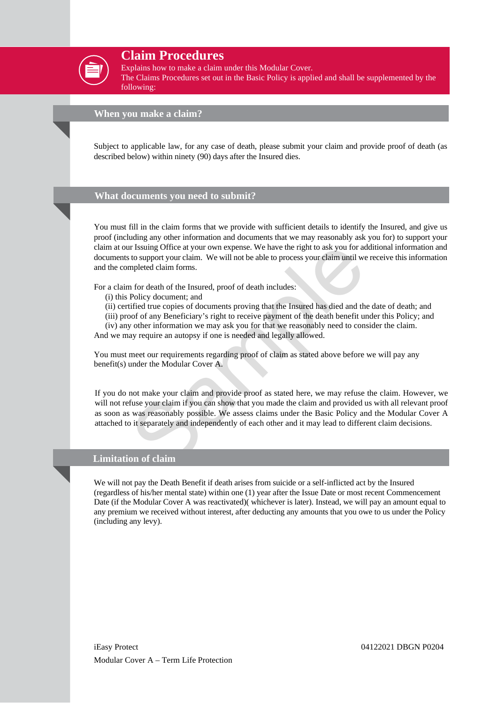

## **Claim Procedures**

Explains how to make a claim under this Modular Cover.

The Claims Procedures set out in the Basic Policy is applied and shall be supplemented by the following:

### **When you make a claim?**

Subject to applicable law, for any case of death, please submit your claim and provide proof of death (as described below) within ninety (90) days after the Insured dies.

#### **What documents you need to submit?**

You must fill in the claim forms that we provide with sufficient details to identify the Insured, and give us proof (including any other information and documents that we may reasonably ask you for) to support your claim at our Issuing Office at your own expense. We have the right to ask you for additional information and documents to support your claim. We will not be able to process your claim until we receive this information and the completed claim forms.

For a claim for death of the Insured, proof of death includes:

- (i) this Policy document; and
- (ii) certified true copies of documents proving that the Insured has died and the date of death; and
- (iii) proof of any Beneficiary's right to receive payment of the death benefit under this Policy; and

(iv) any other information we may ask you for that we reasonably need to consider the claim. And we may require an autopsy if one is needed and legally allowed.

You must meet our requirements regarding proof of claim as stated above before we will pay any benefit(s) under the Modular Cover A.

Ir Issuing Office at your own expense. We have the right to ask you for additiotic to support your claim. We will not be able to process your claim until we recempleted claim forms.<br>
In for death of the Insured, proof of d If you do not make your claim and provide proof as stated here, we may refuse the claim. However, we will not refuse your claim if you can show that you made the claim and provided us with all relevant proof as soon as was reasonably possible. We assess claims under the Basic Policy and the Modular Cover A attached to it separately and independently of each other and it may lead to different claim decisions.

#### **Limitation of claim**

We will not pay the Death Benefit if death arises from suicide or a self-inflicted act by the Insured (regardless of his/her mental state) within one (1) year after the Issue Date or most recent Commencement Date (if the Modular Cover A was reactivated)( whichever is later). Instead, we will pay an amount equal to any premium we received without interest, after deducting any amounts that you owe to us under the Policy (including any levy).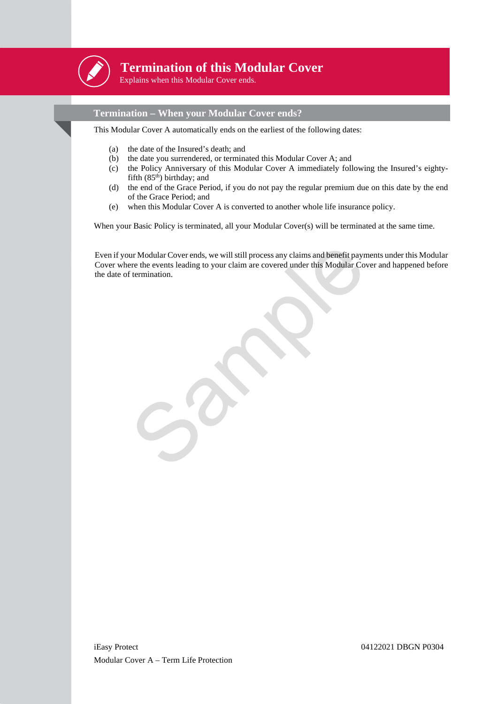

## **Termination of this Modular Cover**

Explains when this Modular Cover ends.

## **Termination – When your Modular Cover ends?**

This Modular Cover A automatically ends on the earliest of the following dates:

- (a) the date of the Insured's death; and
- (b) the date you surrendered, or terminated this Modular Cover A; and
- (c) the Policy Anniversary of this Modular Cover A immediately following the Insured's eightyfifth (85<sup>th</sup>) birthday; and
- (d) the end of the Grace Period, if you do not pay the regular premium due on this date by the end of the Grace Period; and
- (e) when this Modular Cover A is converted to another whole life insurance policy.

When your Basic Policy is terminated, all your Modular Cover(s) will be terminated at the same time.

ur Modular Cover ends, we will still process any claims and benefit payments<br>rere the events leading to your claim are covered under this Modular Cover a<br>f termination. Even if your Modular Cover ends, we will still process any claims and benefit payments under this Modular Cover where the events leading to your claim are covered under this Modular Cover and happened before the date of termination.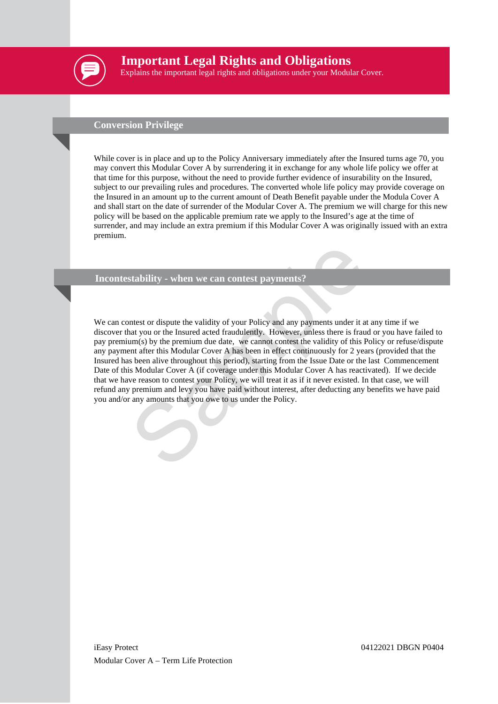

## **Important Legal Rights and Obligations**

Explains the important legal rights and obligations under your Modular Cover.

## **Conversion Privilege**

While cover is in place and up to the Policy Anniversary immediately after the Insured turns age 70, you may convert this Modular Cover A by surrendering it in exchange for any whole life policy we offer at that time for this purpose, without the need to provide further evidence of insurability on the Insured, subject to our prevailing rules and procedures. The converted whole life policy may provide coverage on the Insured in an amount up to the current amount of Death Benefit payable under the Modula Cover A and shall start on the date of surrender of the Modular Cover A. The premium we will charge for this new policy will be based on the applicable premium rate we apply to the Insured's age at the time of surrender, and may include an extra premium if this Modular Cover A was originally issued with an extra premium.

#### **Incontestability - when we can contest payments?**

stability - when we can contest payments?<br>
Intest or dispute the validity of your Policy and any payments under it at any<br>
and you or the Insured acted fraudulently. However, unless there is fraud or<br>
um(s) by the premium We can contest or dispute the validity of your Policy and any payments under it at any time if we discover that you or the Insured acted fraudulently. However, unless there is fraud or you have failed to pay premium(s) by the premium due date, we cannot contest the validity of this Policy or refuse/dispute any payment after this Modular Cover A has been in effect continuously for 2 years (provided that the Insured has been alive throughout this period), starting from the Issue Date or the last Commencement Date of this Modular Cover A (if coverage under this Modular Cover A has reactivated). If we decide that we have reason to contest your Policy, we will treat it as if it never existed. In that case, we will refund any premium and levy you have paid without interest, after deducting any benefits we have paid you and/or any amounts that you owe to us under the Policy.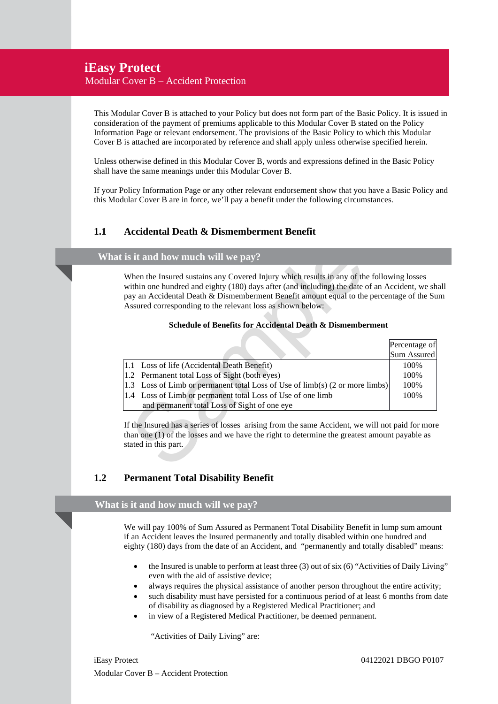## **iEasy Protect**

Modular Cover B – Accident Protection

This Modular Cover B is attached to your Policy but does not form part of the Basic Policy. It is issued in consideration of the payment of premiums applicable to this Modular Cover B stated on the Policy Information Page or relevant endorsement. The provisions of the Basic Policy to which this Modular Cover B is attached are incorporated by reference and shall apply unless otherwise specified herein.

Unless otherwise defined in this Modular Cover B, words and expressions defined in the Basic Policy shall have the same meanings under this Modular Cover B.

If your Policy Information Page or any other relevant endorsement show that you have a Basic Policy and this Modular Cover B are in force, we'll pay a benefit under the following circumstances.

## **1.1 Accidental Death & Dismemberment Benefit**

## **What is it and how much will we pay?**

#### **Schedule of Benefits for Accidental Death & Dismemberment**

|     | is it and how much will we pay?                                                                                                                                                                                                                                                                                                                                                                                   |                              |
|-----|-------------------------------------------------------------------------------------------------------------------------------------------------------------------------------------------------------------------------------------------------------------------------------------------------------------------------------------------------------------------------------------------------------------------|------------------------------|
|     | When the Insured sustains any Covered Injury which results in any of the following losses<br>within one hundred and eighty (180) days after (and including) the date of an Accident, we sh<br>pay an Accidental Death & Dismemberment Benefit amount equal to the percentage of the Su<br>Assured corresponding to the relevant loss as shown below:<br>Schedule of Benefits for Accidental Death & Dismemberment |                              |
|     |                                                                                                                                                                                                                                                                                                                                                                                                                   | Percentage of<br>Sum Assured |
| 1.1 | Loss of life (Accidental Death Benefit)                                                                                                                                                                                                                                                                                                                                                                           | 100%                         |
| 1.2 | Permanent total Loss of Sight (both eyes)                                                                                                                                                                                                                                                                                                                                                                         | 100%                         |
| 1.3 | Loss of Limb or permanent total Loss of Use of limb(s) (2 or more limbs)                                                                                                                                                                                                                                                                                                                                          | 100%                         |
|     | 1.4 Loss of Limb or permanent total Loss of Use of one limb<br>and permanent total Loss of Sight of one eye                                                                                                                                                                                                                                                                                                       | 100%                         |
|     | If the Insured has a series of losses arising from the same Accident, we will not paid for more<br>than one $(1)$ of the losses and we have the right to determine the greatest amount payable as<br>stated in this part.                                                                                                                                                                                         |                              |

## **1.2 Permanent Total Disability Benefit**

#### **What is it and how much will we pay?**

We will pay 100% of Sum Assured as Permanent Total Disability Benefit in lump sum amount if an Accident leaves the Insured permanently and totally disabled within one hundred and eighty (180) days from the date of an Accident, and "permanently and totally disabled" means:

- the Insured is unable to perform at least three (3) out of six (6) "Activities of Daily Living" even with the aid of assistive device;
- always requires the physical assistance of another person throughout the entire activity;
- such disability must have persisted for a continuous period of at least 6 months from date of disability as diagnosed by a Registered Medical Practitioner; and
- in view of a Registered Medical Practitioner, be deemed permanent.

"Activities of Daily Living" are:

iEasy Protect 04122021 DBGO P0107 Modular Cover B – Accident Protection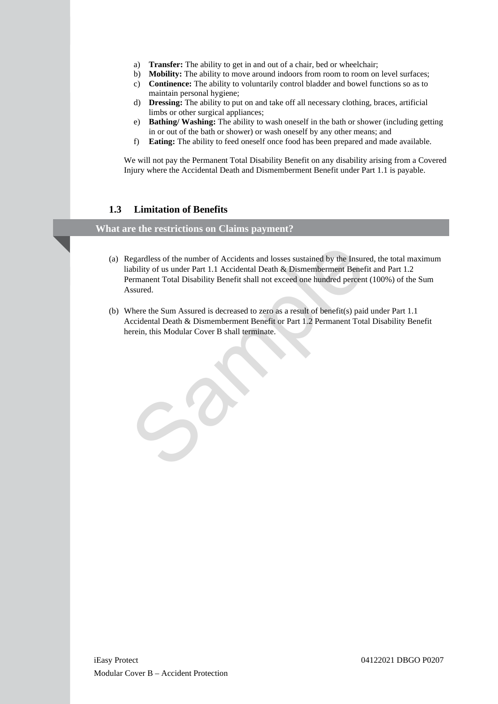- a) **Transfer:** The ability to get in and out of a chair, bed or wheelchair;
- b) **Mobility:** The ability to move around indoors from room to room on level surfaces;
- c) **Continence:** The ability to voluntarily control bladder and bowel functions so as to maintain personal hygiene;
- d) **Dressing:** The ability to put on and take off all necessary clothing, braces, artificial limbs or other surgical appliances;
- e) **Bathing/ Washing:** The ability to wash oneself in the bath or shower (including getting in or out of the bath or shower) or wash oneself by any other means; and
- f) **Eating:** The ability to feed oneself once food has been prepared and made available.

We will not pay the Permanent Total Disability Benefit on any disability arising from a Covered Injury where the Accidental Death and Dismemberment Benefit under Part 1.1 is payable.

## **1.3 Limitation of Benefits**

## **What are the restrictions on Claims payment?**

- egardless of the number of Accidents and losses sustained by the Insured, the ability of us under Part 1.1 Accidental Death & Dismemberment Benefit and remanent Total Disability Benefit shall not exceed one hundred percent (a) Regardless of the number of Accidents and losses sustained by the Insured, the total maximum liability of us under Part 1.1 Accidental Death & Dismemberment Benefit and Part 1.2 Permanent Total Disability Benefit shall not exceed one hundred percent (100%) of the Sum Assured.
- (b) Where the Sum Assured is decreased to zero as a result of benefit(s) paid under Part 1.1 Accidental Death & Dismemberment Benefit or Part 1.2 Permanent Total Disability Benefit herein, this Modular Cover B shall terminate.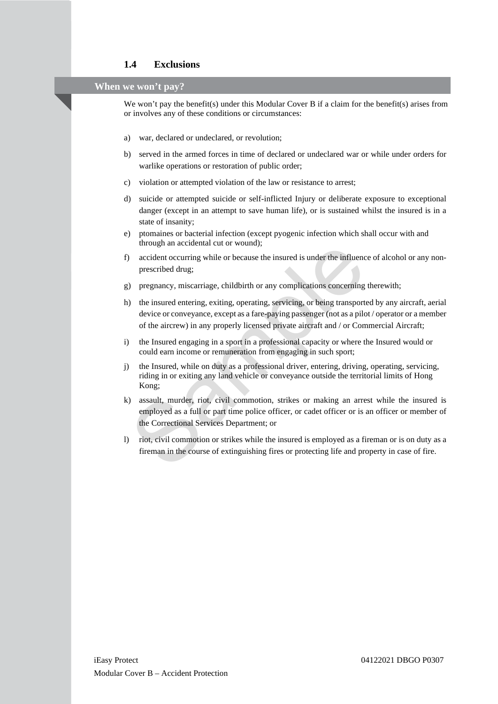## **1.4 Exclusions**

## **When we won't pay?**

We won't pay the benefit(s) under this Modular Cover B if a claim for the benefit(s) arises from or involves any of these conditions or circumstances:

- a) war, declared or undeclared, or revolution;
- b) served in the armed forces in time of declared or undeclared war or while under orders for warlike operations or restoration of public order;
- c) violation or attempted violation of the law or resistance to arrest;
- d) suicide or attempted suicide or self-inflicted Injury or deliberate exposure to exceptional danger (except in an attempt to save human life), or is sustained whilst the insured is in a state of insanity;
- e) ptomaines or bacterial infection (except pyogenic infection which shall occur with and through an accidental cut or wound);
- f) accident occurring while or because the insured is under the influence of alcohol or any nonprescribed drug;
- g) pregnancy, miscarriage, childbirth or any complications concerning therewith;
- h) the insured entering, exiting, operating, servicing, or being transported by any aircraft, aerial device or conveyance, except as a fare-paying passenger (not as a pilot / operator or a member of the aircrew) in any properly licensed private aircraft and / or Commercial Aircraft;
- i) the Insured engaging in a sport in a professional capacity or where the Insured would or could earn income or remuneration from engaging in such sport;
- j) the Insured, while on duty as a professional driver, entering, driving, operating, servicing, riding in or exiting any land vehicle or conveyance outside the territorial limits of Hong Kong;
- and actional action wounds),<br>accident occurring while or because the insured is under the influence of<br>prescribed drug;<br>actionary, miscarriage, child<br>birth or any complications concerning there<br>the insured entering, exitin k) assault, murder, riot, civil commotion, strikes or making an arrest while the insured is employed as a full or part time police officer, or cadet officer or is an officer or member of the Correctional Services Department; or
- l) riot, civil commotion or strikes while the insured is employed as a fireman or is on duty as a fireman in the course of extinguishing fires or protecting life and property in case of fire.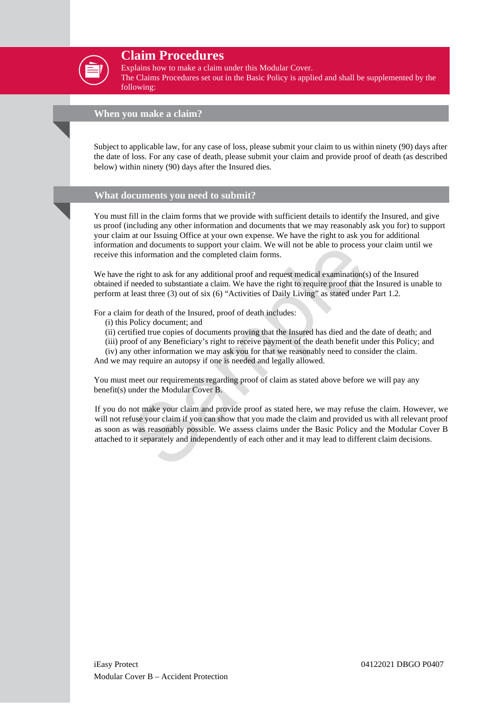

## **Claim Procedures**

Explains how to make a claim under this Modular Cover.

The Claims Procedures set out in the Basic Policy is applied and shall be supplemented by the following:

#### **When you make a claim?**

Subject to applicable law, for any case of loss, please submit your claim to us within ninety (90) days after the date of loss. For any case of death, please submit your claim and provide proof of death (as described below) within ninety (90) days after the Insured dies.

#### **What documents you need to submit?**

You must fill in the claim forms that we provide with sufficient details to identify the Insured, and give us proof (including any other information and documents that we may reasonably ask you for) to support your claim at our Issuing Office at your own expense. We have the right to ask you for additional information and documents to support your claim. We will not be able to process your claim until we receive this information and the completed claim forms.

We have the right to ask for any additional proof and request medical examination(s) of the Insured obtained if needed to substantiate a claim. We have the right to require proof that the Insured is unable to perform at least three (3) out of six (6) "Activities of Daily Living" as stated under Part 1.2.

For a claim for death of the Insured, proof of death includes:

- (i) this Policy document; and
- (ii) certified true copies of documents proving that the Insured has died and the date of death; and
- (iii) proof of any Beneficiary's right to receive payment of the death benefit under this Policy; and
- (iv) any other information we may ask you for that we reasonably need to consider the claim.

And we may require an autopsy if one is needed and legally allowed.

You must meet our requirements regarding proof of claim as stated above before we will pay any benefit(s) under the Modular Cover B.

In and documents to support your claim. We will not be able to process your<br>s information and the completed claim forms.<br>the right to ask for any additional proof and request medical examination(s) of<br>receded to substantia If you do not make your claim and provide proof as stated here, we may refuse the claim. However, we will not refuse your claim if you can show that you made the claim and provided us with all relevant proof as soon as was reasonably possible. We assess claims under the Basic Policy and the Modular Cover B attached to it separately and independently of each other and it may lead to different claim decisions.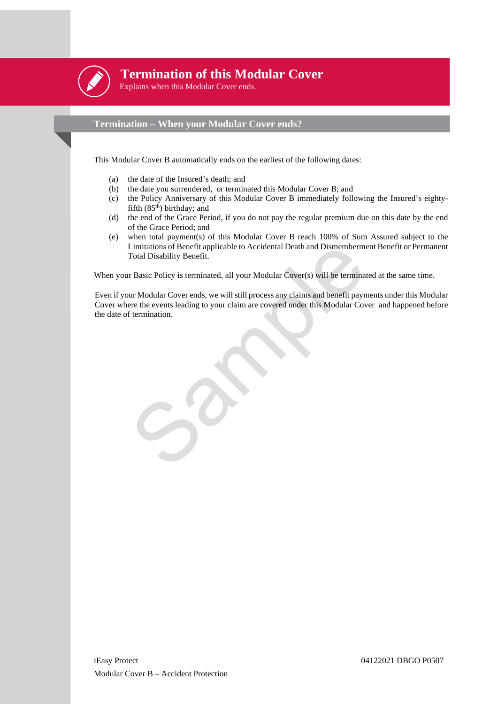

## **Termination of this Modular Cover**

Explains when this Modular Cover ends.

## **Termination – When your Modular Cover ends?**

This Modular Cover B automatically ends on the earliest of the following dates:

- (a) the date of the Insured's death; and
- (b) the date you surrendered, or terminated this Modular Cover B; and
- (c) the Policy Anniversary of this Modular Cover B immediately following the Insured's eightyfifth  $(85<sup>th</sup>)$  birthday; and
- (d) the end of the Grace Period, if you do not pay the regular premium due on this date by the end of the Grace Period; and
- (e) when total payment(s) of this Modular Cover B reach 100% of Sum Assured subject to the Limitations of Benefit applicable to Accidental Death and Dismemberment Benefit or Permanent Total Disability Benefit.

When your Basic Policy is terminated, all your Modular Cover(s) will be terminated at the same time.

Limitations of Benefit applicable to Accidental Death and Dismemberment B<br>Total Disability Benefit.<br>Thasic Policy is terminated, all your Modular Cover(s) will be terminated a<br>ur Modular Cover ends, we will still process a Even if your Modular Cover ends, we will still process any claims and benefit payments under this Modular Cover where the events leading to your claim are covered under this Modular Cover and happened before the date of termination.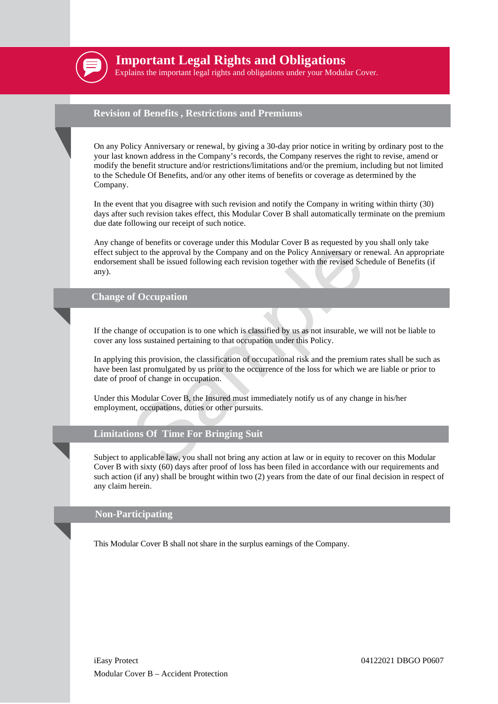

## **Important Legal Rights and Obligations**

Explains the important legal rights and obligations under your Modular Cover.

#### **Revision of Benefits , Restrictions and Premiums**

On any Policy Anniversary or renewal, by giving a 30-day prior notice in writing by ordinary post to the your last known address in the Company's records, the Company reserves the right to revise, amend or modify the benefit structure and/or restrictions/limitations and/or the premium, including but not limited to the Schedule Of Benefits, and/or any other items of benefits or coverage as determined by the Company.

In the event that you disagree with such revision and notify the Company in writing within thirty (30) days after such revision takes effect, this Modular Cover B shall automatically terminate on the premium due date following our receipt of such notice.

For borehas of coording times who and content of a series to the approval by the Company and on the Policy Anniversary or renewert to the approval by the Company and on the Policy Anniversary or renewent shall be issued fo Any change of benefits or coverage under this Modular Cover B as requested by you shall only take effect subject to the approval by the Company and on the Policy Anniversary or renewal. An appropriate endorsement shall be issued following each revision together with the revised Schedule of Benefits (if any).

## **Change of Occupation**

If the change of occupation is to one which is classified by us as not insurable, we will not be liable to cover any loss sustained pertaining to that occupation under this Policy.

In applying this provision, the classification of occupational risk and the premium rates shall be such as have been last promulgated by us prior to the occurrence of the loss for which we are liable or prior to date of proof of change in occupation.

Under this Modular Cover B, the Insured must immediately notify us of any change in his/her employment, occupations, duties or other pursuits.

## **Limitations Of Time For Bringing Suit**

Subject to applicable law, you shall not bring any action at law or in equity to recover on this Modular Cover B with sixty (60) days after proof of loss has been filed in accordance with our requirements and such action (if any) shall be brought within two (2) years from the date of our final decision in respect of any claim herein.

#### **Non-Participating**

This Modular Cover B shall not share in the surplus earnings of the Company.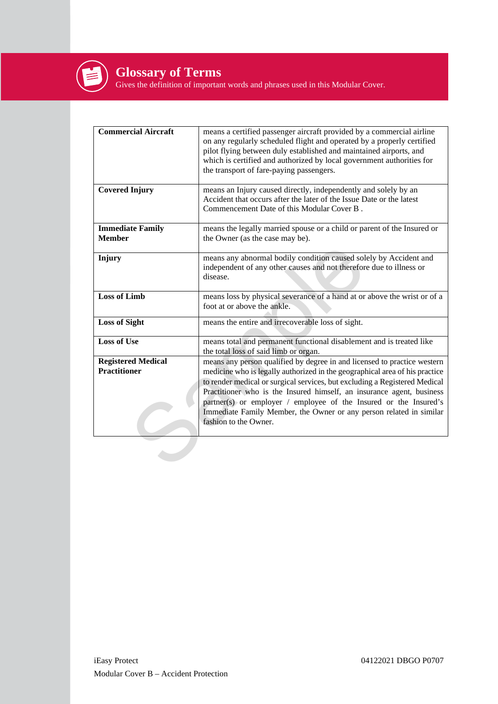

Gives the definition of important words and phrases used in this Modular Cover.

| <b>Commercial Aircraft</b>                       | means a certified passenger aircraft provided by a commercial airline<br>on any regularly scheduled flight and operated by a properly certified<br>pilot flying between duly established and maintained airports, and<br>which is certified and authorized by local government authorities for<br>the transport of fare-paying passengers.                                                                                                                                          |
|--------------------------------------------------|-------------------------------------------------------------------------------------------------------------------------------------------------------------------------------------------------------------------------------------------------------------------------------------------------------------------------------------------------------------------------------------------------------------------------------------------------------------------------------------|
| <b>Covered Injury</b>                            | means an Injury caused directly, independently and solely by an<br>Accident that occurs after the later of the Issue Date or the latest<br>Commencement Date of this Modular Cover B.                                                                                                                                                                                                                                                                                               |
| <b>Immediate Family</b><br><b>Member</b>         | means the legally married spouse or a child or parent of the Insured or<br>the Owner (as the case may be).                                                                                                                                                                                                                                                                                                                                                                          |
| Injury                                           | means any abnormal bodily condition caused solely by Accident and<br>independent of any other causes and not therefore due to illness or<br>disease.                                                                                                                                                                                                                                                                                                                                |
| <b>Loss of Limb</b>                              | means loss by physical severance of a hand at or above the wrist or of a<br>foot at or above the ankle.                                                                                                                                                                                                                                                                                                                                                                             |
| <b>Loss of Sight</b>                             | means the entire and irrecoverable loss of sight.                                                                                                                                                                                                                                                                                                                                                                                                                                   |
| <b>Loss of Use</b>                               | means total and permanent functional disablement and is treated like<br>the total loss of said limb or organ.                                                                                                                                                                                                                                                                                                                                                                       |
| <b>Registered Medical</b><br><b>Practitioner</b> | means any person qualified by degree in and licensed to practice western<br>medicine who is legally authorized in the geographical area of his practice<br>to render medical or surgical services, but excluding a Registered Medical<br>Practitioner who is the Insured himself, an insurance agent, business<br>partner(s) or employer / employee of the Insured or the Insured's<br>Immediate Family Member, the Owner or any person related in similar<br>fashion to the Owner. |
|                                                  |                                                                                                                                                                                                                                                                                                                                                                                                                                                                                     |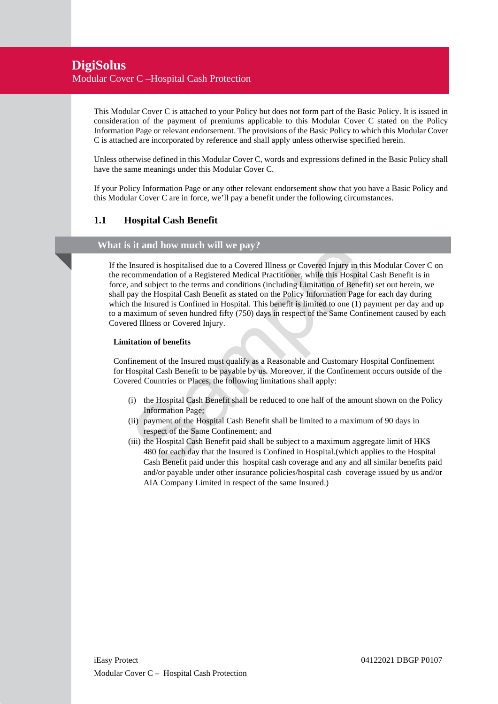## **DigiSolus** Modular Cover C –Hospital Cash Protection

This Modular Cover C is attached to your Policy but does not form part of the Basic Policy. It is issued in consideration of the payment of premiums applicable to this Modular Cover C stated on the Policy Information Page or relevant endorsement. The provisions of the Basic Policy to which this Modular Cover C is attached are incorporated by reference and shall apply unless otherwise specified herein.

Unless otherwise defined in this Modular Cover C, words and expressions defined in the Basic Policy shall have the same meanings under this Modular Cover C.

If your Policy Information Page or any other relevant endorsement show that you have a Basic Policy and this Modular Cover C are in force, we'll pay a benefit under the following circumstances.

## **1.1 Hospital Cash Benefit**

#### **What is it and how much will we pay?**

First and how much will we pay?<br>
Insured is hospitalised due to a Covered Illness or Covered Injury in this Mommendation of a Registered Medical Practitioner, while this Hospital Cas<br>
and subject to the terms and condition If the Insured is hospitalised due to a Covered Illness or Covered Injury in this Modular Cover C on the recommendation of a Registered Medical Practitioner, while this Hospital Cash Benefit is in force, and subject to the terms and conditions (including Limitation of Benefit) set out herein, we shall pay the Hospital Cash Benefit as stated on the Policy Information Page for each day during which the Insured is Confined in Hospital. This benefit is limited to one (1) payment per day and up to a maximum of seven hundred fifty (750) days in respect of the Same Confinement caused by each Covered Illness or Covered Injury.

#### **Limitation of benefits**

Confinement of the Insured must qualify as a Reasonable and Customary Hospital Confinement for Hospital Cash Benefit to be payable by us. Moreover, if the Confinement occurs outside of the Covered Countries or Places, the following limitations shall apply:

- (i) the Hospital Cash Benefit shall be reduced to one half of the amount shown on the Policy Information Page;
- (ii) payment of the Hospital Cash Benefit shall be limited to a maximum of 90 days in respect of the Same Confinement; and
- (iii) the Hospital Cash Benefit paid shall be subject to a maximum aggregate limit of HK\$ 480 for each day that the Insured is Confined in Hospital.(which applies to the Hospital Cash Benefit paid under this hospital cash coverage and any and all similar benefits paid and/or payable under other insurance policies/hospital cash coverage issued by us and/or AIA Company Limited in respect of the same Insured.)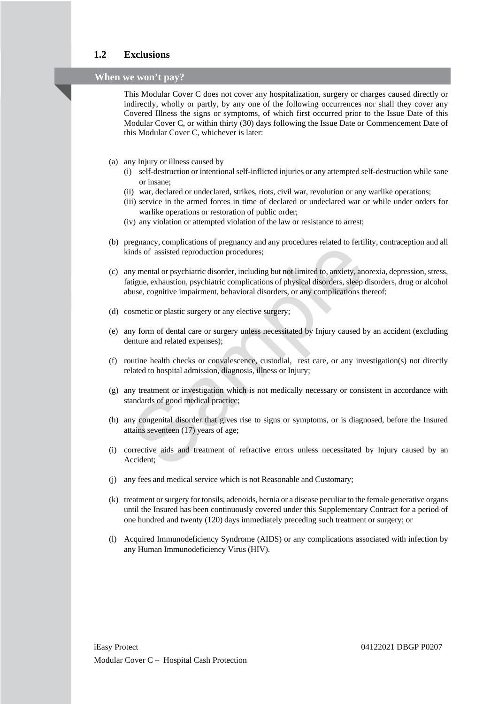## **1.2 Exclusions**

## **When we won't pay?**

This Modular Cover C does not cover any hospitalization, surgery or charges caused directly or indirectly, wholly or partly, by any one of the following occurrences nor shall they cover any Covered Illness the signs or symptoms, of which first occurred prior to the Issue Date of this Modular Cover C, or within thirty (30) days following the Issue Date or Commencement Date of this Modular Cover C, whichever is later:

- (a) any Injury or illness caused by
	- (i) self-destruction or intentional self-inflicted injuries or any attempted self-destruction while sane or insane;
	- (ii) war, declared or undeclared, strikes, riots, civil war, revolution or any warlike operations;
	- (iii) service in the armed forces in time of declared or undeclared war or while under orders for warlike operations or restoration of public order;
	- (iv) any violation or attempted violation of the law or resistance to arrest;
- (b) pregnancy, complications of pregnancy and any procedures related to fertility, contraception and all kinds of assisted reproduction procedures;
- regnancy, completantion or pregnancy and any procedures can<br>transform and a properties of existed reproduction procedures;<br>the constrained to cancely, anorexial<br>displace, exhaustion, psychiatric complications of physical d (c) any mental or psychiatric disorder, including but not limited to, anxiety, anorexia, depression, stress, fatigue, exhaustion, psychiatric complications of physical disorders, sleep disorders, drug or alcohol abuse, cognitive impairment, behavioral disorders, or any complications thereof;
- (d) cosmetic or plastic surgery or any elective surgery;
- (e) any form of dental care or surgery unless necessitated by Injury caused by an accident (excluding denture and related expenses);
- (f) routine health checks or convalescence, custodial, rest care, or any investigation(s) not directly related to hospital admission, diagnosis, illness or Injury;
- (g) any treatment or investigation which is not medically necessary or consistent in accordance with standards of good medical practice;
- (h) any congenital disorder that gives rise to signs or symptoms, or is diagnosed, before the Insured attains seventeen (17) years of age;
- (i) corrective aids and treatment of refractive errors unless necessitated by Injury caused by an Accident;
- (j) any fees and medical service which is not Reasonable and Customary;
- (k) treatment or surgery for tonsils, adenoids, hernia or a disease peculiar to the female generative organs until the Insured has been continuously covered under this Supplementary Contract for a period of one hundred and twenty (120) days immediately preceding such treatment or surgery; or
- (l) Acquired Immunodeficiency Syndrome (AIDS) or any complications associated with infection by any Human Immunodeficiency Virus (HIV).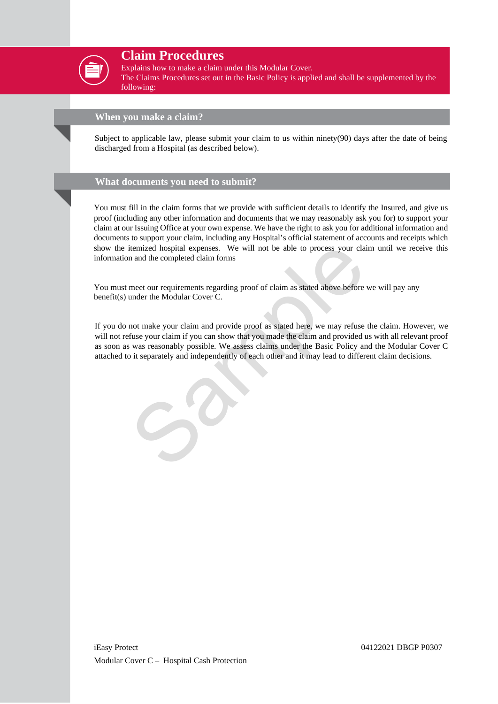

## **Claim Procedures**

Explains how to make a claim under this Modular Cover.

The Claims Procedures set out in the Basic Policy is applied and shall be supplemented by the following:

## **When you make a claim?**

Subject to applicable law, please submit your claim to us within ninety(90) days after the date of being discharged from a Hospital (as described below).

## **What documents you need to submit?**

You must fill in the claim forms that we provide with sufficient details to identify the Insured, and give us proof (including any other information and documents that we may reasonably ask you for) to support your claim at our Issuing Office at your own expense. We have the right to ask you for additional information and documents to support your claim, including any Hospital's official statement of accounts and receipts which show the itemized hospital expenses. We will not be able to process your claim until we receive this information and the completed claim forms

You must meet our requirements regarding proof of claim as stated above before we will pay any benefit(s) under the Modular Cover C.

itemized hospital expenses. We will not be able to process your claim u<br>and the completed claim forms<br>meet our requirements regarding proof of claim as stated above before we w<br>under the Modular Cover C.<br>not make your clai If you do not make your claim and provide proof as stated here, we may refuse the claim. However, we will not refuse your claim if you can show that you made the claim and provided us with all relevant proof as soon as was reasonably possible. We assess claims under the Basic Policy and the Modular Cover C attached to it separately and independently of each other and it may lead to different claim decisions.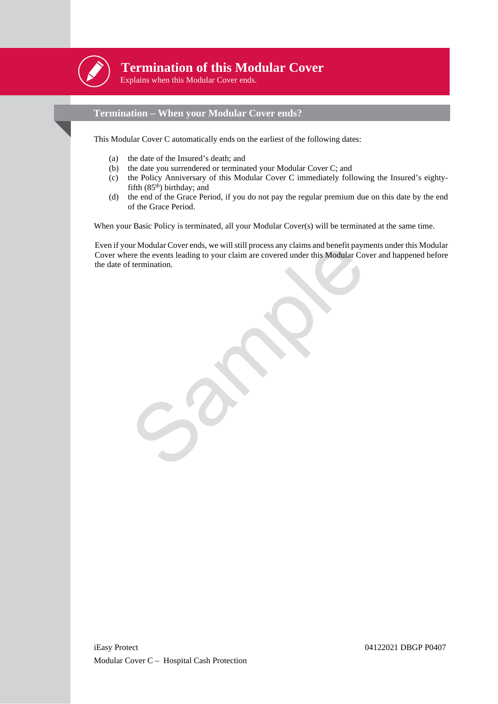

## **Termination of this Modular Cover**

Explains when this Modular Cover ends.

## **Termination – When your Modular Cover ends?**

This Modular Cover C automatically ends on the earliest of the following dates:

- (a) the date of the Insured's death; and
- (b) the date you surrendered or terminated your Modular Cover C; and
- (c) the Policy Anniversary of this Modular Cover C immediately following the Insured's eightyfifth  $(85<sup>th</sup>)$  birthday; and
- (d) the end of the Grace Period, if you do not pay the regular premium due on this date by the end of the Grace Period.

When your Basic Policy is terminated, all your Modular Cover(s) will be terminated at the same time.

For Modular Cover ends, we will still process any claims and benefit payments<br>ere the events leading to your claim are covered under this Modular Cover a<br>fermination. Even if your Modular Cover ends, we will still process any claims and benefit payments under this Modular Cover where the events leading to your claim are covered under this Modular Cover and happened before the date of termination.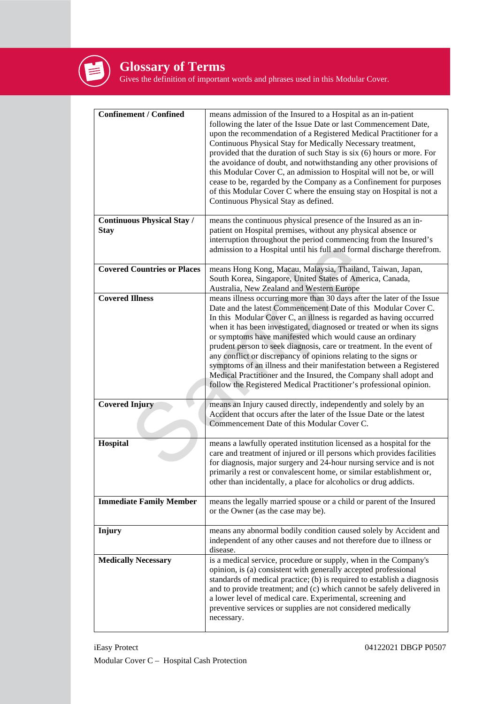

## **Glossary of Terms**

Gives the definition of important words and phrases used in this Modular Cover.

| <b>Confinement / Confined</b>                    | means admission of the Insured to a Hospital as an in-patient                                                                                                                                                                                                                                                                                                                                                                                                                                                                                                                                                                                                                                                      |
|--------------------------------------------------|--------------------------------------------------------------------------------------------------------------------------------------------------------------------------------------------------------------------------------------------------------------------------------------------------------------------------------------------------------------------------------------------------------------------------------------------------------------------------------------------------------------------------------------------------------------------------------------------------------------------------------------------------------------------------------------------------------------------|
|                                                  | following the later of the Issue Date or last Commencement Date,<br>upon the recommendation of a Registered Medical Practitioner for a<br>Continuous Physical Stay for Medically Necessary treatment,<br>provided that the duration of such Stay is six (6) hours or more. For<br>the avoidance of doubt, and notwithstanding any other provisions of<br>this Modular Cover C, an admission to Hospital will not be, or will<br>cease to be, regarded by the Company as a Confinement for purposes<br>of this Modular Cover C where the ensuing stay on Hospital is not a<br>Continuous Physical Stay as defined.                                                                                                  |
| <b>Continuous Physical Stay /</b><br><b>Stay</b> | means the continuous physical presence of the Insured as an in-<br>patient on Hospital premises, without any physical absence or<br>interruption throughout the period commencing from the Insured's<br>admission to a Hospital until his full and formal discharge therefrom.                                                                                                                                                                                                                                                                                                                                                                                                                                     |
| <b>Covered Countries or Places</b>               | means Hong Kong, Macau, Malaysia, Thailand, Taiwan, Japan,<br>South Korea, Singapore, United States of America, Canada,<br>Australia, New Zealand and Western Europe                                                                                                                                                                                                                                                                                                                                                                                                                                                                                                                                               |
| <b>Covered Illness</b>                           | means illness occurring more than 30 days after the later of the Issue<br>Date and the latest Commencement Date of this Modular Cover C.<br>In this Modular Cover C, an illness is regarded as having occurred<br>when it has been investigated, diagnosed or treated or when its signs<br>or symptoms have manifested which would cause an ordinary<br>prudent person to seek diagnosis, care or treatment. In the event of<br>any conflict or discrepancy of opinions relating to the signs or<br>symptoms of an illness and their manifestation between a Registered<br>Medical Practitioner and the Insured, the Company shall adopt and<br>follow the Registered Medical Practitioner's professional opinion. |
| <b>Covered Injury</b>                            | means an Injury caused directly, independently and solely by an<br>Accident that occurs after the later of the Issue Date or the latest<br>Commencement Date of this Modular Cover C.                                                                                                                                                                                                                                                                                                                                                                                                                                                                                                                              |
| Hospital                                         | means a lawfully operated institution licensed as a hospital for the<br>care and treatment of injured or ill persons which provides facilities<br>for diagnosis, major surgery and 24-hour nursing service and is not<br>primarily a rest or convalescent home, or similar establishment or,<br>other than incidentally, a place for alcoholics or drug addicts.                                                                                                                                                                                                                                                                                                                                                   |
| <b>Immediate Family Member</b>                   | means the legally married spouse or a child or parent of the Insured<br>or the Owner (as the case may be).                                                                                                                                                                                                                                                                                                                                                                                                                                                                                                                                                                                                         |
| <b>Injury</b>                                    | means any abnormal bodily condition caused solely by Accident and<br>independent of any other causes and not therefore due to illness or<br>disease.                                                                                                                                                                                                                                                                                                                                                                                                                                                                                                                                                               |
| <b>Medically Necessary</b>                       | is a medical service, procedure or supply, when in the Company's<br>opinion, is (a) consistent with generally accepted professional<br>standards of medical practice; (b) is required to establish a diagnosis<br>and to provide treatment; and (c) which cannot be safely delivered in<br>a lower level of medical care. Experimental, screening and<br>preventive services or supplies are not considered medically<br>necessary.                                                                                                                                                                                                                                                                                |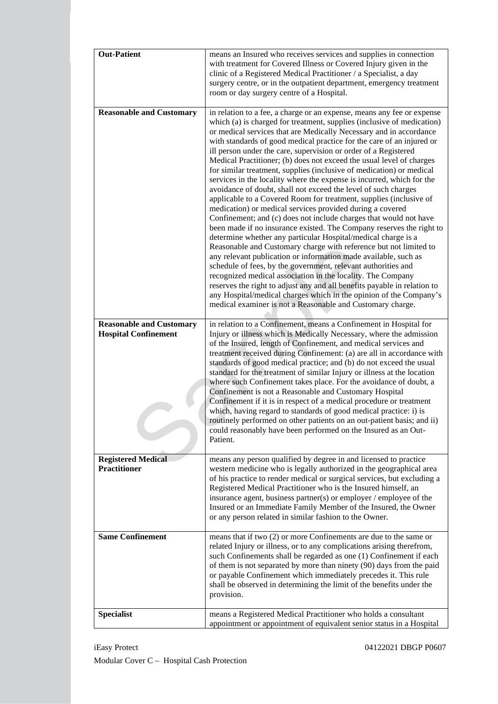| <b>Out-Patient</b>                                             | means an Insured who receives services and supplies in connection<br>with treatment for Covered Illness or Covered Injury given in the<br>clinic of a Registered Medical Practitioner / a Specialist, a day<br>surgery centre, or in the outpatient department, emergency treatment<br>room or day surgery centre of a Hospital.                                                                                                                                                                                                                                                                                                                                                                                                                                                                                                                                                                                                                                                                                                                                                                                                                                                                                                                                                                                                                                                                                                                                                                       |
|----------------------------------------------------------------|--------------------------------------------------------------------------------------------------------------------------------------------------------------------------------------------------------------------------------------------------------------------------------------------------------------------------------------------------------------------------------------------------------------------------------------------------------------------------------------------------------------------------------------------------------------------------------------------------------------------------------------------------------------------------------------------------------------------------------------------------------------------------------------------------------------------------------------------------------------------------------------------------------------------------------------------------------------------------------------------------------------------------------------------------------------------------------------------------------------------------------------------------------------------------------------------------------------------------------------------------------------------------------------------------------------------------------------------------------------------------------------------------------------------------------------------------------------------------------------------------------|
| <b>Reasonable and Customary</b>                                | in relation to a fee, a charge or an expense, means any fee or expense<br>which (a) is charged for treatment, supplies (inclusive of medication)<br>or medical services that are Medically Necessary and in accordance<br>with standards of good medical practice for the care of an injured or<br>ill person under the care, supervision or order of a Registered<br>Medical Practitioner; (b) does not exceed the usual level of charges<br>for similar treatment, supplies (inclusive of medication) or medical<br>services in the locality where the expense is incurred, which for the<br>avoidance of doubt, shall not exceed the level of such charges<br>applicable to a Covered Room for treatment, supplies (inclusive of<br>medication) or medical services provided during a covered<br>Confinement; and (c) does not include charges that would not have<br>been made if no insurance existed. The Company reserves the right to<br>determine whether any particular Hospital/medical charge is a<br>Reasonable and Customary charge with reference but not limited to<br>any relevant publication or information made available, such as<br>schedule of fees, by the government, relevant authorities and<br>recognized medical association in the locality. The Company<br>reserves the right to adjust any and all benefits payable in relation to<br>any Hospital/medical charges which in the opinion of the Company's<br>medical examiner is not a Reasonable and Customary charge. |
| <b>Reasonable and Customary</b><br><b>Hospital Confinement</b> | in relation to a Confinement, means a Confinement in Hospital for<br>Injury or illness which is Medically Necessary, where the admission<br>of the Insured, length of Confinement, and medical services and<br>treatment received during Confinement: (a) are all in accordance with<br>standards of good medical practice; and (b) do not exceed the usual<br>standard for the treatment of similar Injury or illness at the location<br>where such Confinement takes place. For the avoidance of doubt, a<br>Confinement is not a Reasonable and Customary Hospital<br>Confinement if it is in respect of a medical procedure or treatment<br>which, having regard to standards of good medical practice: i) is<br>routinely performed on other patients on an out-patient basis; and ii)<br>could reasonably have been performed on the Insured as an Out-<br>Patient.                                                                                                                                                                                                                                                                                                                                                                                                                                                                                                                                                                                                                              |
| <b>Registered Medical</b><br><b>Practitioner</b>               | means any person qualified by degree in and licensed to practice<br>western medicine who is legally authorized in the geographical area<br>of his practice to render medical or surgical services, but excluding a<br>Registered Medical Practitioner who is the Insured himself, an<br>insurance agent, business partner(s) or employer / employee of the<br>Insured or an Immediate Family Member of the Insured, the Owner<br>or any person related in similar fashion to the Owner.                                                                                                                                                                                                                                                                                                                                                                                                                                                                                                                                                                                                                                                                                                                                                                                                                                                                                                                                                                                                                |
| <b>Same Confinement</b>                                        | means that if two (2) or more Confinements are due to the same or<br>related Injury or illness, or to any complications arising therefrom,<br>such Confinements shall be regarded as one (1) Confinement if each<br>of them is not separated by more than ninety (90) days from the paid<br>or payable Confinement which immediately precedes it. This rule<br>shall be observed in determining the limit of the benefits under the<br>provision.                                                                                                                                                                                                                                                                                                                                                                                                                                                                                                                                                                                                                                                                                                                                                                                                                                                                                                                                                                                                                                                      |
| <b>Specialist</b>                                              | means a Registered Medical Practitioner who holds a consultant<br>appointment or appointment of equivalent senior status in a Hospital                                                                                                                                                                                                                                                                                                                                                                                                                                                                                                                                                                                                                                                                                                                                                                                                                                                                                                                                                                                                                                                                                                                                                                                                                                                                                                                                                                 |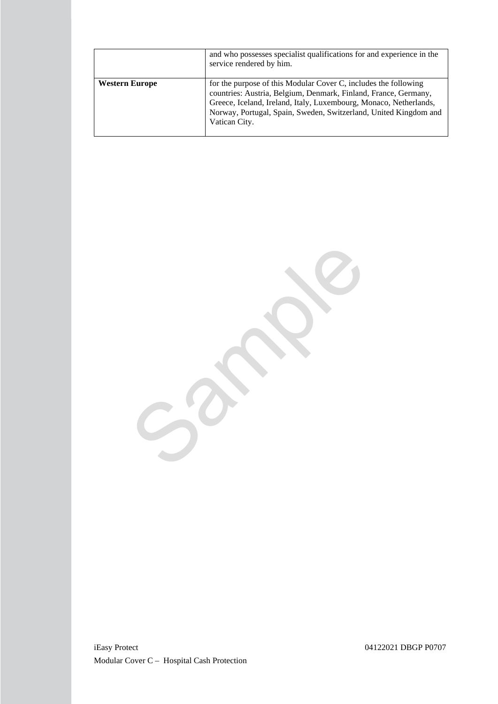|                       | and who possesses specialist qualifications for and experience in the<br>service rendered by him.                                                                                                                                                                                            |
|-----------------------|----------------------------------------------------------------------------------------------------------------------------------------------------------------------------------------------------------------------------------------------------------------------------------------------|
| <b>Western Europe</b> | for the purpose of this Modular Cover C, includes the following<br>countries: Austria, Belgium, Denmark, Finland, France, Germany,<br>Greece, Iceland, Ireland, Italy, Luxembourg, Monaco, Netherlands,<br>Norway, Portugal, Spain, Sweden, Switzerland, United Kingdom and<br>Vatican City. |

Sample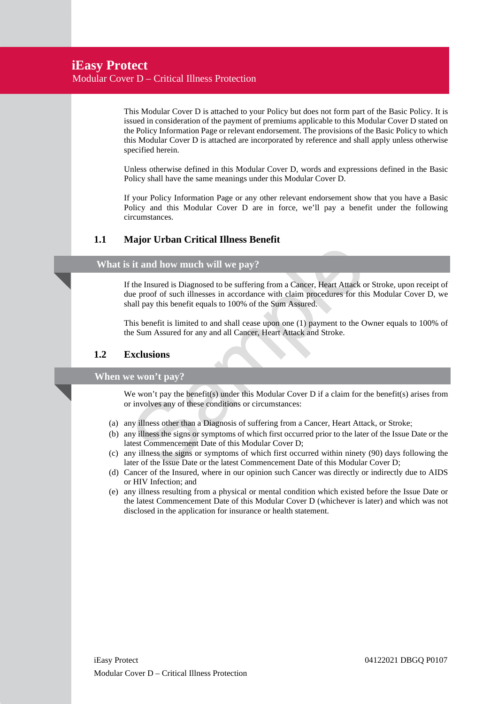This Modular Cover D is attached to your Policy but does not form part of the Basic Policy. It is issued in consideration of the payment of premiums applicable to this Modular Cover D stated on the Policy Information Page or relevant endorsement. The provisions of the Basic Policy to which this Modular Cover D is attached are incorporated by reference and shall apply unless otherwise specified herein.

Unless otherwise defined in this Modular Cover D, words and expressions defined in the Basic Policy shall have the same meanings under this Modular Cover D.

If your Policy Information Page or any other relevant endorsement show that you have a Basic Policy and this Modular Cover D are in force, we'll pay a benefit under the following circumstances.

## **1.1 Major Urban Critical Illness Benefit**

### **What is it and how much will we pay?**

is it and how much will we pay?<br>
If the Insured is Diagnosed to be suffering from a Cancer, Heart Attack or Strue proof of such illnesses in accordance with claim procedures for this Me<br>
Inlarge this benefit equals to 100% If the Insured is Diagnosed to be suffering from a Cancer, Heart Attack or Stroke, upon receipt of due proof of such illnesses in accordance with claim procedures for this Modular Cover D, we shall pay this benefit equals to 100% of the Sum Assured.

This benefit is limited to and shall cease upon one (1) payment to the Owner equals to 100% of the Sum Assured for any and all Cancer, Heart Attack and Stroke.

## **1.2 Exclusions**

#### **When we won't pay?**

We won't pay the benefit(s) under this Modular Cover D if a claim for the benefit(s) arises from or involves any of these conditions or circumstances:

- (a) any illness other than a Diagnosis of suffering from a Cancer, Heart Attack, or Stroke;
- (b) any illness the signs or symptoms of which first occurred prior to the later of the Issue Date or the latest Commencement Date of this Modular Cover D;
- (c) any illness the signs or symptoms of which first occurred within ninety (90) days following the later of the Issue Date or the latest Commencement Date of this Modular Cover D;
- (d) Cancer of the Insured, where in our opinion such Cancer was directly or indirectly due to AIDS or HIV Infection; and
- (e) any illness resulting from a physical or mental condition which existed before the Issue Date or the latest Commencement Date of this Modular Cover D (whichever is later) and which was not disclosed in the application for insurance or health statement.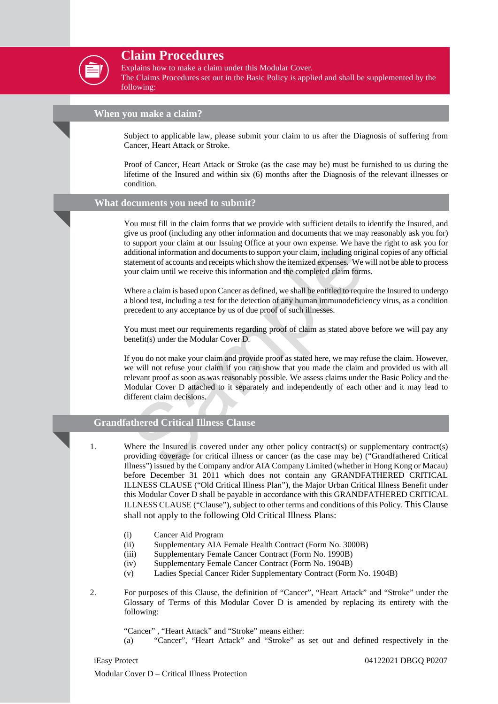

## **Claim Procedures**

Explains how to make a claim under this Modular Cover.

The Claims Procedures set out in the Basic Policy is applied and shall be supplemented by the following:

## **When you make a claim?**

Subject to applicable law, please submit your claim to us after the Diagnosis of suffering from Cancer, Heart Attack or Stroke.

Proof of Cancer, Heart Attack or Stroke (as the case may be) must be furnished to us during the lifetime of the Insured and within six (6) months after the Diagnosis of the relevant illnesses or condition.

#### **What documents you need to submit?**

You must fill in the claim forms that we provide with sufficient details to identify the Insured, and give us proof (including any other information and documents that we may reasonably ask you for) to support your claim at our Issuing Office at your own expense. We have the right to ask you for additional information and documents to support your claim, including original copies of any official statement of accounts and receipts which show the itemized expenses. We will not be able to process your claim until we receive this information and the completed claim forms.

Where a claim is based upon Cancer as defined, we shall be entitled to require the Insured to undergo a blood test, including a test for the detection of any human immunodeficiency virus, as a condition precedent to any acceptance by us of due proof of such illnesses.

You must meet our requirements regarding proof of claim as stated above before we will pay any benefit(s) under the Modular Cover D.

Sapport you claim at our issume Onter at your exponent and decomments to support your claim, including original deditional information and documents to support your claim, including original determent of accounts and recei If you do not make your claim and provide proof as stated here, we may refuse the claim. However, we will not refuse your claim if you can show that you made the claim and provided us with all relevant proof as soon as was reasonably possible. We assess claims under the Basic Policy and the Modular Cover D attached to it separately and independently of each other and it may lead to different claim decisions.

## **Grandfathered Critical Illness Clause**

- 1. Where the Insured is covered under any other policy contract(s) or supplementary contract(s) providing coverage for critical illness or cancer (as the case may be) ("Grandfathered Critical Illness") issued by the Company and/or AIA Company Limited (whether in Hong Kong or Macau) before December 31 2011 which does not contain any GRANDFATHERED CRITICAL ILLNESS CLAUSE ("Old Critical Illness Plan"), the Major Urban Critical Illness Benefit under this Modular Cover D shall be payable in accordance with this GRANDFATHERED CRITICAL ILLNESS CLAUSE ("Clause"), subject to other terms and conditions of this Policy. This Clause shall not apply to the following Old Critical Illness Plans:
	- (i) Cancer Aid Program

Modular Cover D – Critical Illness Protection

- (ii) Supplementary AIA Female Health Contract (Form No. 3000B)
- (iii) Supplementary Female Cancer Contract (Form No. 1990B)
- (iv) Supplementary Female Cancer Contract (Form No. 1904B)
- (v) Ladies Special Cancer Rider Supplementary Contract (Form No. 1904B)
- 2. For purposes of this Clause, the definition of "Cancer", "Heart Attack" and "Stroke" under the Glossary of Terms of this Modular Cover D is amended by replacing its entirety with the following:

"Cancer" , "Heart Attack" and "Stroke" means either:

(a) "Cancer", "Heart Attack" and "Stroke" as set out and defined respectively in the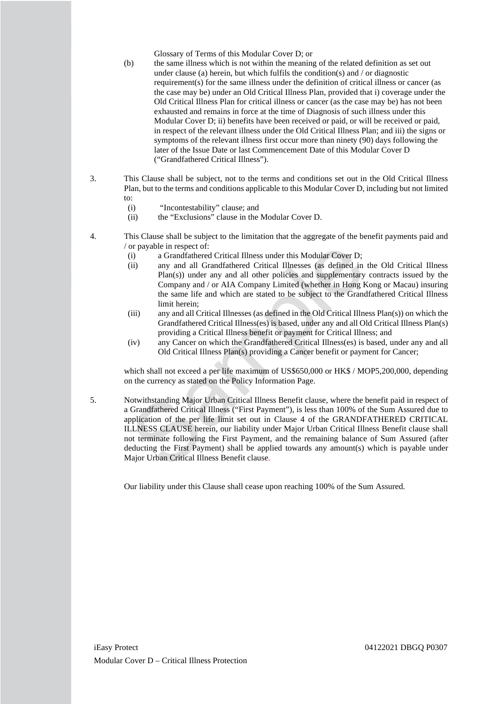Glossary of Terms of this Modular Cover D; or

- (b) the same illness which is not within the meaning of the related definition as set out under clause (a) herein, but which fulfils the condition(s) and  $\prime$  or diagnostic requirement(s) for the same illness under the definition of critical illness or cancer (as the case may be) under an Old Critical Illness Plan, provided that i) coverage under the Old Critical Illness Plan for critical illness or cancer (as the case may be) has not been exhausted and remains in force at the time of Diagnosis of such illness under this Modular Cover D; ii) benefits have been received or paid, or will be received or paid, in respect of the relevant illness under the Old Critical Illness Plan; and iii) the signs or symptoms of the relevant illness first occur more than ninety (90) days following the later of the Issue Date or last Commencement Date of this Modular Cover D ("Grandfathered Critical Illness").
- 3. This Clause shall be subject, not to the terms and conditions set out in the Old Critical Illness Plan, but to the terms and conditions applicable to this Modular Cover D, including but not limited to:
	- (i) "Incontestability" clause; and
	- (ii) the "Exclusions" clause in the Modular Cover D.
- 4. This Clause shall be subject to the limitation that the aggregate of the benefit payments paid and / or payable in respect of:
	- (i) a Grandfathered Critical Illness under this Modular Cover D;
	- (ii) any and all Grandfathered Critical Illnesses (as defined in the Old Critical Illness Plan(s)) under any and all other policies and supplementary contracts issued by the Company and / or AIA Company Limited (whether in Hong Kong or Macau) insuring the same life and which are stated to be subject to the Grandfathered Critical Illness limit herein;
	- (iii) any and all Critical Illnesses (as defined in the Old Critical Illness Plan(s)) on which the Grandfathered Critical Illness(es) is based, under any and all Old Critical Illness Plan(s) providing a Critical Illness benefit or payment for Critical Illness; and
	- (iv) any Cancer on which the Grandfathered Critical Illness(es) is based, under any and all Old Critical Illness Plan(s) providing a Cancer benefit or payment for Cancer;

which shall not exceed a per life maximum of US\$650,000 or HK\$ / MOP5,200,000, depending on the currency as stated on the Policy Information Page.

or payable in respect of:<br>
(i) a Grandfathered Critical Illness under this Modular Cover D;<br>
any and all Grandfathered Critical Illnesses (as defined in the Plan(s)) under any and all other policies and supplementary con<br> 5. Notwithstanding Major Urban Critical Illness Benefit clause, where the benefit paid in respect of a Grandfathered Critical Illness ("First Payment"), is less than 100% of the Sum Assured due to application of the per life limit set out in Clause 4 of the GRANDFATHERED CRITICAL ILLNESS CLAUSE herein, our liability under Major Urban Critical Illness Benefit clause shall not terminate following the First Payment, and the remaining balance of Sum Assured (after deducting the First Payment) shall be applied towards any amount(s) which is payable under Major Urban Critical Illness Benefit clause.

Our liability under this Clause shall cease upon reaching 100% of the Sum Assured.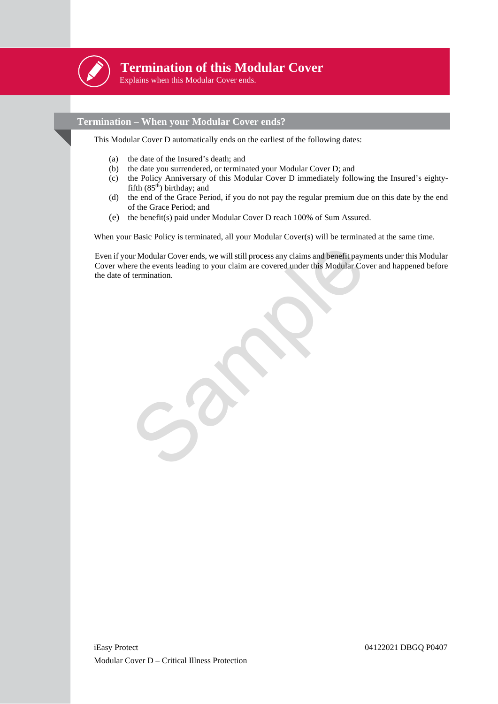

## **Termination of this Modular Cover**

Explains when this Modular Cover ends.

## **Termination – When your Modular Cover ends?**

This Modular Cover D automatically ends on the earliest of the following dates:

- (a) the date of the Insured's death; and
- (b) the date you surrendered, or terminated your Modular Cover D; and
- (c) the Policy Anniversary of this Modular Cover D immediately following the Insured's eightyfifth  $(85<sup>th</sup>)$  birthday; and
- (d) the end of the Grace Period, if you do not pay the regular premium due on this date by the end of the Grace Period; and
- (e) the benefit(s) paid under Modular Cover D reach 100% of Sum Assured.

When your Basic Policy is terminated, all your Modular Cover(s) will be terminated at the same time.

ur Modular Cover ends, we will still process any claims and benefit payments<br>rere the events leading to your claim are covered under this Modular Cover a<br>f termination. Even if your Modular Cover ends, we will still process any claims and benefit payments under this Modular Cover where the events leading to your claim are covered under this Modular Cover and happened before the date of termination.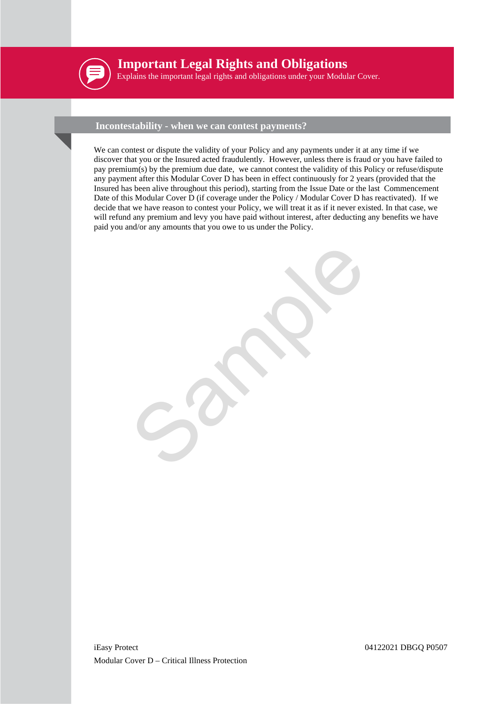

## **Important Legal Rights and Obligations**

Explains the important legal rights and obligations under your Modular Cover.

## **Incontestability - when we can contest payments?**

We can contest or dispute the validity of your Policy and any payments under it at any time if we discover that you or the Insured acted fraudulently. However, unless there is fraud or you have failed to pay premium(s) by the premium due date, we cannot contest the validity of this Policy or refuse/dispute any payment after this Modular Cover D has been in effect continuously for 2 years (provided that the Insured has been alive throughout this period), starting from the Issue Date or the last Commencement Date of this Modular Cover D (if coverage under the Policy / Modular Cover D has reactivated). If we decide that we have reason to contest your Policy, we will treat it as if it never existed. In that case, we will refund any premium and levy you have paid without interest, after deducting any benefits we have paid you and/or any amounts that you owe to us under the Policy.

Sample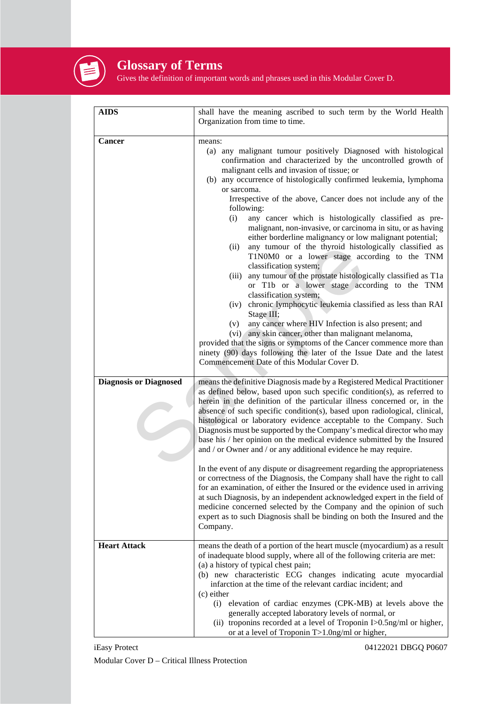

## **Glossary of Terms**

Gives the definition of important words and phrases used in this Modular Cover D.

| <b>AIDS</b>                   | shall have the meaning ascribed to such term by the World Health<br>Organization from time to time.                                                                                                                                                                                                                                                                                                                                                                                                                                                                                                                                                                                                                                                                                                                                                                                                                                                                                                                                                                                                                                                                                                                                                     |
|-------------------------------|---------------------------------------------------------------------------------------------------------------------------------------------------------------------------------------------------------------------------------------------------------------------------------------------------------------------------------------------------------------------------------------------------------------------------------------------------------------------------------------------------------------------------------------------------------------------------------------------------------------------------------------------------------------------------------------------------------------------------------------------------------------------------------------------------------------------------------------------------------------------------------------------------------------------------------------------------------------------------------------------------------------------------------------------------------------------------------------------------------------------------------------------------------------------------------------------------------------------------------------------------------|
| Cancer                        | means:<br>(a) any malignant tumour positively Diagnosed with histological<br>confirmation and characterized by the uncontrolled growth of<br>malignant cells and invasion of tissue; or<br>(b) any occurrence of histologically confirmed leukemia, lymphoma<br>or sarcoma.<br>Irrespective of the above, Cancer does not include any of the<br>following:<br>any cancer which is histologically classified as pre-<br>(i)<br>malignant, non-invasive, or carcinoma in situ, or as having<br>either borderline malignancy or low malignant potential;<br>any tumour of the thyroid histologically classified as<br>(ii)<br>T1N0M0 or a lower stage according to the TNM<br>classification system;<br>any tumour of the prostate histologically classified as T1a<br>(iii)<br>or T1b or a lower stage according to the TNM<br>classification system;<br>(iv) chronic lymphocytic leukemia classified as less than RAI<br>Stage III;<br>any cancer where HIV Infection is also present; and<br>(v)<br>(vi) any skin cancer, other than malignant melanoma,<br>provided that the signs or symptoms of the Cancer commence more than<br>ninety (90) days following the later of the Issue Date and the latest<br>Commencement Date of this Modular Cover D. |
| <b>Diagnosis or Diagnosed</b> | means the definitive Diagnosis made by a Registered Medical Practitioner<br>as defined below, based upon such specific condition(s), as referred to<br>herein in the definition of the particular illness concerned or, in the<br>absence of such specific condition(s), based upon radiological, clinical,<br>histological or laboratory evidence acceptable to the Company. Such<br>Diagnosis must be supported by the Company's medical director who may<br>base his / her opinion on the medical evidence submitted by the Insured<br>and / or Owner and / or any additional evidence he may require.<br>In the event of any dispute or disagreement regarding the appropriateness<br>or correctness of the Diagnosis, the Company shall have the right to call<br>for an examination, of either the Insured or the evidence used in arriving<br>at such Diagnosis, by an independent acknowledged expert in the field of<br>medicine concerned selected by the Company and the opinion of such<br>expert as to such Diagnosis shall be binding on both the Insured and the<br>Company.                                                                                                                                                             |
| <b>Heart Attack</b>           | means the death of a portion of the heart muscle (myocardium) as a result<br>of inadequate blood supply, where all of the following criteria are met:<br>(a) a history of typical chest pain;<br>(b) new characteristic ECG changes indicating acute myocardial<br>infarction at the time of the relevant cardiac incident; and<br>$(c)$ either<br>(i) elevation of cardiac enzymes (CPK-MB) at levels above the<br>generally accepted laboratory levels of normal, or<br>(ii) troponins recorded at a level of Troponin I>0.5ng/ml or higher,<br>or at a level of Troponin T>1.0ng/ml or higher,                                                                                                                                                                                                                                                                                                                                                                                                                                                                                                                                                                                                                                                       |

iEasy Protect 04122021 DBGQ P0607